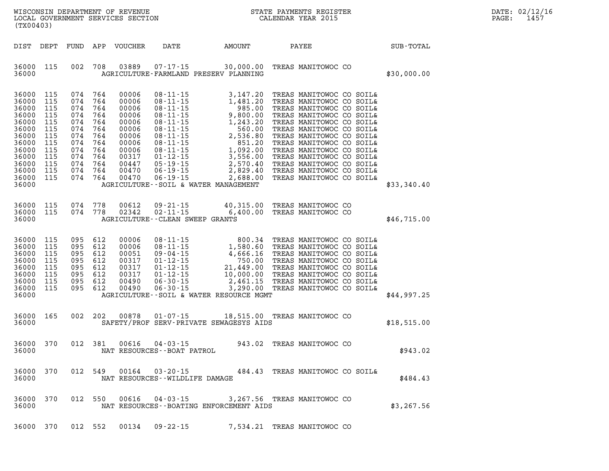| DATE: | 02/12/16 |
|-------|----------|
| PAGE: | 1457     |

|                                                                                                                            | LOCAL GOVERNMENT SERVICES SECTION<br>(TX00403)                                          |                                                                                         |                                                                                         |                                                                                                                   |                                                                                                                                                                                                                                                                                                                                                                                                                                     |                                                                                                                                                                                            | CALENDAR YEAR 2015 |                                                                                                                                                                                                                                                                                                                                                                          | PAGE: | 1457        |  |  |
|----------------------------------------------------------------------------------------------------------------------------|-----------------------------------------------------------------------------------------|-----------------------------------------------------------------------------------------|-----------------------------------------------------------------------------------------|-------------------------------------------------------------------------------------------------------------------|-------------------------------------------------------------------------------------------------------------------------------------------------------------------------------------------------------------------------------------------------------------------------------------------------------------------------------------------------------------------------------------------------------------------------------------|--------------------------------------------------------------------------------------------------------------------------------------------------------------------------------------------|--------------------|--------------------------------------------------------------------------------------------------------------------------------------------------------------------------------------------------------------------------------------------------------------------------------------------------------------------------------------------------------------------------|-------|-------------|--|--|
| DIST                                                                                                                       | DEPT                                                                                    | FUND                                                                                    |                                                                                         | APP VOUCHER                                                                                                       | DATE                                                                                                                                                                                                                                                                                                                                                                                                                                | AMOUNT                                                                                                                                                                                     | PAYEE              |                                                                                                                                                                                                                                                                                                                                                                          |       | SUB-TOTAL   |  |  |
| 36000 115<br>36000                                                                                                         |                                                                                         | 002                                                                                     | 708                                                                                     | 03889                                                                                                             | $07 - 17 - 15$                                                                                                                                                                                                                                                                                                                                                                                                                      | 30,000.00<br>AGRICULTURE-FARMLAND PRESERV PLANNING                                                                                                                                         |                    | TREAS MANITOWOC CO                                                                                                                                                                                                                                                                                                                                                       |       | \$30,000.00 |  |  |
| 36000<br>36000<br>36000<br>36000<br>36000<br>36000<br>36000<br>36000<br>36000<br>36000<br>36000<br>36000<br>36000<br>36000 | 115<br>115<br>115<br>115<br>115<br>115<br>115<br>115<br>115<br>115<br>115<br>115<br>115 | 074<br>074<br>074<br>074<br>074<br>074<br>074<br>074<br>074<br>074<br>074<br>074<br>074 | 764<br>764<br>764<br>764<br>764<br>764<br>764<br>764<br>764<br>764<br>764<br>764<br>764 | 00006<br>00006<br>00006<br>00006<br>00006<br>00006<br>00006<br>00006<br>00006<br>00317<br>00447<br>00470<br>00470 | $08 - 11 - 15$<br>$08 - 11 - 15$<br>$08 - 11 - 15$<br>$\begin{array}{ll} 08\text{-}11\text{-}15 \\ 08\text{-}11\text{-}15 \\ 08\text{-}11\text{-}15 \\ 08\text{-}11\text{-}15 \\ 08\text{-}11\text{-}15 \\ 08\text{-}11\text{-}15 \\ 08\text{-}11\text{-}15 \\ 08\text{-}11\text{-}15 \\ 01\text{-}12\text{-}15 \\ 05\text{-}19\text{-}15 \\ 06\text{-}19\text{-}15 \\ 06\text{-}19\text{-}15 \\ 06\text{-}19\text{-}15 \\ 06\text$ | 3,147.20<br>1,481.20<br>985.00<br>9,800.00<br>1,243.20<br>560.00<br>2,536.80<br>851.20<br>1,092.00<br>3,556.00<br>2,570.40<br>2,829.40<br>2,688.00<br>AGRICULTURE--SOIL & WATER MANAGEMENT |                    | TREAS MANITOWOC CO SOIL&<br>TREAS MANITOWOC CO SOIL&<br>TREAS MANITOWOC CO SOIL&<br>TREAS MANITOWOC CO SOIL&<br>TREAS MANITOWOC CO SOIL&<br>TREAS MANITOWOC CO SOIL&<br>TREAS MANITOWOC CO SOIL&<br>TREAS MANITOWOC CO SOIL&<br>TREAS MANITOWOC CO SOIL&<br>TREAS MANITOWOC CO SOIL&<br>TREAS MANITOWOC CO SOIL&<br>TREAS MANITOWOC CO SOIL&<br>TREAS MANITOWOC CO SOIL& |       | \$33,340.40 |  |  |
| 36000<br>36000<br>36000                                                                                                    | 115<br>115                                                                              | 074<br>074                                                                              | 778<br>778                                                                              | 00612<br>02342                                                                                                    | $09 - 21 - 15$<br>$02 - 11 - 15$<br>AGRICULTURE - - CLEAN SWEEP GRANTS                                                                                                                                                                                                                                                                                                                                                              | 40,315.00<br>6,400.00                                                                                                                                                                      |                    | TREAS MANITOWOC CO<br>TREAS MANITOWOC CO                                                                                                                                                                                                                                                                                                                                 |       | \$46,715.00 |  |  |
| 36000<br>36000<br>36000<br>36000<br>36000<br>36000<br>36000<br>36000<br>36000                                              | 115<br>115<br>115<br>115<br>115<br>115<br>115<br>115                                    | 095 612<br>095<br>095<br>095<br>095<br>095<br>095<br>095                                | 612<br>612<br>612<br>612<br>612<br>612<br>612                                           | 00006<br>00006<br>00051<br>00317<br>00317<br>00317<br>00490<br>00490                                              | $08 - 11 - 15$<br>$08 - 11 - 15$<br>09-04-15<br>$01 - 12 - 15$<br>$01 - 12 - 15$<br>$01 - 12 - 15$<br>$06 - 30 - 15$<br>$06 - 30 - 15$                                                                                                                                                                                                                                                                                              | 800.34<br>$1,580.60$<br>$4,666.16$<br>$750.00$<br>$21,449.00$<br>$10,000.00$<br>$2,461.15$<br>2,461.15<br>3,290.00<br>AGRICULTURE--SOIL & WATER RESOURCE MGMT                              |                    | TREAS MANITOWOC CO SOIL&<br>TREAS MANITOWOC CO SOIL&<br>TREAS MANITOWOC CO SOIL&<br>TREAS MANITOWOC CO SOIL&<br>TREAS MANITOWOC CO SOIL&<br>TREAS MANITOWOC CO SOIL&<br>TREAS MANITOWOC CO SOIL&<br>TREAS MANITOWOC CO SOIL&                                                                                                                                             |       | \$44,997.25 |  |  |
| 36000<br>36000                                                                                                             | 165                                                                                     | 002                                                                                     | - 202                                                                                   | 00878                                                                                                             | $01 - 07 - 15$                                                                                                                                                                                                                                                                                                                                                                                                                      | 18,515.00 TREAS MANITOWOC CO<br>SAFETY/PROF SERV-PRIVATE SEWAGESYS AIDS                                                                                                                    |                    |                                                                                                                                                                                                                                                                                                                                                                          |       | \$18,515.00 |  |  |
| 36000<br>36000                                                                                                             | 370                                                                                     | 012                                                                                     | - 381                                                                                   | 00616                                                                                                             | $04 - 03 - 15$<br>NAT RESOURCES--BOAT PATROL                                                                                                                                                                                                                                                                                                                                                                                        | 943.02                                                                                                                                                                                     |                    | TREAS MANITOWOC CO                                                                                                                                                                                                                                                                                                                                                       |       | \$943.02    |  |  |
| 36000                                                                                                                      | 36000 370                                                                               |                                                                                         |                                                                                         |                                                                                                                   | NAT RESOURCES--WILDLIFE DAMAGE                                                                                                                                                                                                                                                                                                                                                                                                      | 012 549  00164  03-20-15  484.43  TREAS MANITOWOC CO SOIL&                                                                                                                                 |                    |                                                                                                                                                                                                                                                                                                                                                                          |       | \$484.43    |  |  |
| 36000 370<br>36000                                                                                                         |                                                                                         |                                                                                         |                                                                                         | 012 550 00616                                                                                                     | $04 - 03 - 15$                                                                                                                                                                                                                                                                                                                                                                                                                      | 3,267.56 TREAS MANITOWOC CO<br>NAT RESOURCES--BOATING ENFORCEMENT AIDS                                                                                                                     |                    |                                                                                                                                                                                                                                                                                                                                                                          |       | \$3,267.56  |  |  |
| 36000 370                                                                                                                  |                                                                                         | 012 552                                                                                 |                                                                                         | 00134                                                                                                             | $09 - 22 - 15$                                                                                                                                                                                                                                                                                                                                                                                                                      | 7,534.21 TREAS MANITOWOC CO                                                                                                                                                                |                    |                                                                                                                                                                                                                                                                                                                                                                          |       |             |  |  |

WISCONSIN DEPARTMENT OF REVENUE **STATE PAYMENTS REGISTER**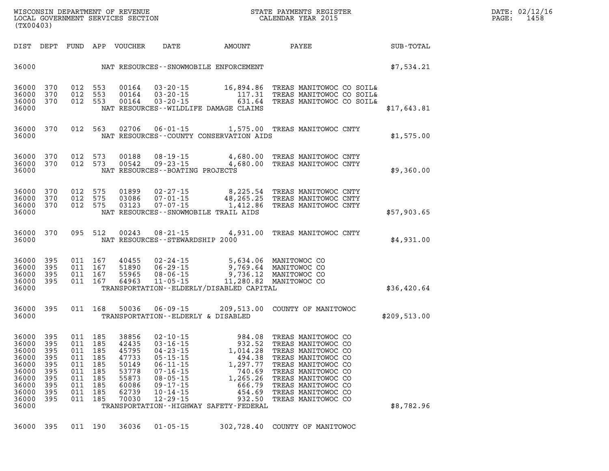| DATE: | 02/12/16 |
|-------|----------|
| PAGE: | 1458     |

| (TX00403)                                                                                      |                                               |                                                       |                                                       |                                                                               |                                                                                                                                                                |                                                                                                                                                                                                                                          | WISCONSIN DEPARTMENT OF REVENUE<br>LOCAL GOVERNMENT SERVICES SECTION<br>CALENDAR YEAR 2015<br>STATE PAYMENTS REGISTER                                                                                                                         |              | $\mathtt{PAGE}$ : | DATE: 02/12/1<br>1458 |
|------------------------------------------------------------------------------------------------|-----------------------------------------------|-------------------------------------------------------|-------------------------------------------------------|-------------------------------------------------------------------------------|----------------------------------------------------------------------------------------------------------------------------------------------------------------|------------------------------------------------------------------------------------------------------------------------------------------------------------------------------------------------------------------------------------------|-----------------------------------------------------------------------------------------------------------------------------------------------------------------------------------------------------------------------------------------------|--------------|-------------------|-----------------------|
|                                                                                                |                                               |                                                       |                                                       | DIST DEPT FUND APP VOUCHER                                                    |                                                                                                                                                                |                                                                                                                                                                                                                                          | DATE AMOUNT PAYEE                                                                                                                                                                                                                             | SUB-TOTAL    |                   |                       |
| 36000                                                                                          |                                               |                                                       |                                                       |                                                                               |                                                                                                                                                                | NAT RESOURCES--SNOWMOBILE ENFORCEMENT                                                                                                                                                                                                    |                                                                                                                                                                                                                                               | \$7,534.21   |                   |                       |
| 36000 370<br>36000<br>36000<br>36000                                                           | 370<br>370                                    |                                                       | 012 553<br>012 553<br>012 553                         |                                                                               |                                                                                                                                                                | NAT RESOURCES - - WILDLIFE DAMAGE CLAIMS                                                                                                                                                                                                 | 00164  03-20-15  16,894.86  TREAS MANITOWOC CO SOIL&<br>00164  03-20-15  117.31  TREAS MANITOWOC CO SOIL&<br>00164  03-20-15  631.64  TREAS MANITOWOC CO SOIL&                                                                                | \$17,643.81  |                   |                       |
| 36000<br>36000                                                                                 | 370                                           |                                                       | 012 563                                               |                                                                               |                                                                                                                                                                | NAT RESOURCES -- COUNTY CONSERVATION AIDS                                                                                                                                                                                                | 02706  06-01-15  1,575.00  TREAS MANITOWOC CNTY                                                                                                                                                                                               | \$1,575.00   |                   |                       |
| 36000 370<br>36000 370<br>36000                                                                |                                               |                                                       | 012 573                                               | 00188<br>012 573 00542                                                        | NAT RESOURCES--BOATING PROJECTS                                                                                                                                |                                                                                                                                                                                                                                          | 08-19-15 4,680.00 TREAS MANITOWOC CNTY<br>09-23-15 4,680.00 TREAS MANITOWOC CNTY                                                                                                                                                              | \$9,360.00   |                   |                       |
| 36000<br>36000<br>36000<br>36000                                                               | 370<br>370<br>370                             | 012 575                                               | 012 575<br>012 575                                    |                                                                               |                                                                                                                                                                | NAT RESOURCES - - SNOWMOBILE TRAIL AIDS                                                                                                                                                                                                  | 01899  02-27-15  8,225.54  TREAS MANITOWOC CNTY<br>03086  07-01-15  48,265.25  TREAS MANITOWOC CNTY<br>03123  07-07-15  1,412.86  TREAS MANITOWOC CNTY                                                                                        | \$57,903.65  |                   |                       |
| 36000 370<br>36000                                                                             |                                               |                                                       | 095 512                                               |                                                                               | NAT RESOURCES - - STEWARDSHIP 2000                                                                                                                             |                                                                                                                                                                                                                                          | 00243  08-21-15  4,931.00 TREAS MANITOWOC CNTY                                                                                                                                                                                                | \$4,931.00   |                   |                       |
| 36000<br>36000<br>36000<br>36000 395<br>36000                                                  | 395<br>395<br>395                             |                                                       |                                                       |                                                                               |                                                                                                                                                                | 011 167 40455 02-24-15 5,634.06 MANITOWOCCO<br>011 167 51890 06-29-15 9,769.64 MANITOWOCCO<br>011 167 55965 08-06-15 9,736.12 MANITOWOCCO<br>011 167 64963 11-05-15 11,280.82 MANITOWOCCO<br>TRANSPORTATION - - ELDERLY/DISABLED CAPITAL |                                                                                                                                                                                                                                               | \$36,420.64  |                   |                       |
| 36000 395<br>36000                                                                             |                                               |                                                       | 011 168                                               | 50036                                                                         |                                                                                                                                                                | TRANSPORTATION--ELDERLY & DISABLED                                                                                                                                                                                                       | 06-09-15 209,513.00 COUNTY OF MANITOWOC                                                                                                                                                                                                       | \$209,513.00 |                   |                       |
| 36000 395<br>36000 395<br>36000<br>36000<br>36000<br>36000<br>36000<br>36000<br>36000<br>36000 | 395<br>395<br>395<br>395<br>395<br>395<br>395 | 011<br>011 185<br>011<br>011<br>011<br>011 185<br>011 | 011 185<br>011 185<br>185<br>185<br>185<br>185<br>185 | 38856<br>42435<br>47733<br>50149<br>53778<br>55873<br>60086<br>62739<br>70030 | $02 - 10 - 15$<br>$03 - 16 - 15$<br>$05 - 15 - 15$<br>$06 - 11 - 15$<br>$07 - 16 - 15$<br>$08 - 05 - 15$<br>$09 - 17 - 15$<br>$10 - 14 - 15$<br>$12 - 29 - 15$ | 36000 395 011 185 45795 04-23-15 1,014.28<br>494.38<br>1,297.77<br>740.69<br>1,265.26<br>666.79<br>454.69<br>932.50<br>TRANSPORTATION - - HIGHWAY SAFETY - FEDERAL                                                                       | 984.08 TREAS TANLISTICS<br>932.52 TREAS MANITOWOC CO<br>1.014.28 TREAS MANITOWOC CO<br>TREAS MANITOWOC CO<br>TREAS MANITOWOC CO<br>TREAS MANITOWOC CO<br>TREAS MANITOWOC CO<br>TREAS MANITOWOC CO<br>TREAS MANITOWOC CO<br>TREAS MANITOWOC CO | \$8,782.96   |                   |                       |
|                                                                                                |                                               |                                                       |                                                       |                                                                               |                                                                                                                                                                |                                                                                                                                                                                                                                          |                                                                                                                                                                                                                                               |              |                   |                       |

**36000 395 011 190 36036 01-05-15 302,728.40 COUNTY OF MANITOWOC**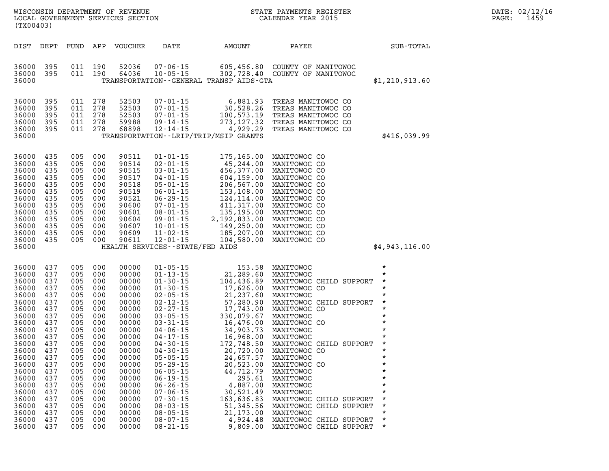| DATE: | 02/12/16 |
|-------|----------|
| PAGE: | 1459     |

| WISCONSIN DEPARTMENT OF REVENUE<br>LOCAL GOVERNMENT SERVICES SECTION<br>(TX00403)                                                                                                                                                                                            |                                                                                                                         |                                                                                                                    |                                                                                                                                                       |                                                                                                                                                                                                                                                                                                                |                                                                                                                                                                                                                                                                                                                                                      | STATE PAYMENTS REGISTER<br>CALENDAR YEAR 2015                                                                                                                                                                                                                                      |                                                                                                                                                        | DATE: 02/12/16<br>PAGE:<br>1459 |
|------------------------------------------------------------------------------------------------------------------------------------------------------------------------------------------------------------------------------------------------------------------------------|-------------------------------------------------------------------------------------------------------------------------|--------------------------------------------------------------------------------------------------------------------|-------------------------------------------------------------------------------------------------------------------------------------------------------|----------------------------------------------------------------------------------------------------------------------------------------------------------------------------------------------------------------------------------------------------------------------------------------------------------------|------------------------------------------------------------------------------------------------------------------------------------------------------------------------------------------------------------------------------------------------------------------------------------------------------------------------------------------------------|------------------------------------------------------------------------------------------------------------------------------------------------------------------------------------------------------------------------------------------------------------------------------------|--------------------------------------------------------------------------------------------------------------------------------------------------------|---------------------------------|
| DIST DEPT                                                                                                                                                                                                                                                                    |                                                                                                                         |                                                                                                                    | FUND APP VOUCHER                                                                                                                                      | DATE                                                                                                                                                                                                                                                                                                           | AMOUNT                                                                                                                                                                                                                                                                                                                                               | PAYEE                                                                                                                                                                                                                                                                              | SUB-TOTAL                                                                                                                                              |                                 |
| 36000<br>395<br>36000<br>395<br>36000                                                                                                                                                                                                                                        | 011 190<br>011 190                                                                                                      |                                                                                                                    | 52036<br>64036                                                                                                                                        | $07 - 06 - 15$<br>$10 - 05 - 15$                                                                                                                                                                                                                                                                               | 605,456.80<br>TRANSPORTATION--GENERAL TRANSP AIDS-GTA                                                                                                                                                                                                                                                                                                | COUNTY OF MANITOWOC<br>302,728.40 COUNTY OF MANITOWOC                                                                                                                                                                                                                              | \$1,210,913.60                                                                                                                                         |                                 |
| 36000<br>395<br>36000<br>395<br>36000<br>395<br>36000<br>395<br>36000<br>395<br>36000                                                                                                                                                                                        | 011 278<br>011 278<br>011 278<br>011 278<br>011 278                                                                     |                                                                                                                    | 52503<br>52503<br>52503<br>59988<br>68898                                                                                                             | $07 - 01 - 15$<br>$07 - 01 - 15$<br>$07 - 01 - 15$<br>$09 - 14 - 15$<br>$12 - 14 - 15$                                                                                                                                                                                                                         | 6,881.93<br>30,528.26<br>100,573.19<br>273, 127.32<br>4,929.29<br>TRANSPORTATION - - LRIP/TRIP/MSIP GRANTS                                                                                                                                                                                                                                           | TREAS MANITOWOC CO<br>TREAS MANITOWOC CO<br>TREAS MANITOWOC CO<br>TREAS MANITOWOC CO<br>TREAS MANITOWOC CO                                                                                                                                                                         | \$416,039.99                                                                                                                                           |                                 |
| 36000<br>435<br>435<br>36000<br>36000<br>435<br>36000<br>435<br>36000<br>435<br>36000<br>435<br>435<br>36000<br>36000<br>435<br>435<br>36000<br>36000<br>435<br>36000<br>435<br>36000<br>435<br>36000<br>435<br>36000                                                        | 005 000<br>005 000<br>005 000<br>005<br>005<br>005 000<br>005<br>005<br>005<br>005 000<br>005<br>005<br>005             | 000<br>000<br>000<br>- 000<br>000<br>000<br>000<br>000                                                             | 90511<br>90514<br>90515<br>90517<br>90518<br>90519<br>90521<br>90600<br>90601<br>90604<br>90607<br>90609<br>90611                                     | $01 - 01 - 15$<br>$02 - 01 - 15$<br>$03 - 01 - 15$<br>$04 - 01 - 15$<br>$05 - 01 - 15$<br>$06 - 01 - 15$<br>$06 - 29 - 15$<br>$07 - 01 - 15$<br>$08 - 01 - 15$<br>$09 - 01 - 15$<br>$10 - 01 - 15$<br>$11 - 02 - 15$<br>$12 - 01 - 15$<br>HEALTH SERVICES - - STATE/FED AIDS                                   | 175,165.00<br>45,244.00<br>$45,244.00$<br>$456,377.00$<br>$604,159.00$<br>$206,567.00$<br>$153,108.00$<br>$124,114.00$<br>$411,317.00$<br>$135,195.00$<br>$2,192,833.00$<br>$149.250.00$<br>149,250.00<br>185,207.00<br>104,580.00<br>104,580.00                                                                                                     | MANITOWOC CO<br>MANITOWOC CO<br>MANITOWOC CO<br>MANITOWOC CO<br>MANITOWOC CO<br>MANITOWOC CO<br>MANITOWOC CO<br>MANITOWOC CO<br>MANITOWOC CO<br>MANITOWOC CO<br>MANITOWOC CO<br>MANITOWOC CO<br>MANITOWOC CO                                                                       | \$4,943,116.00                                                                                                                                         |                                 |
| 437<br>36000<br>437<br>36000<br>36000<br>437<br>36000<br>437<br>36000<br>437<br>36000<br>437<br>36000<br>437<br>36000<br>437<br>36000<br>437<br>36000<br>437<br>36000<br>437<br>36000<br>437<br>36000<br>437<br>36000<br>437<br>36000<br>437<br>36000<br>437<br>36000<br>437 | 005 000<br>005<br>005<br>005<br>005<br>005<br>005<br>005<br>005<br>005<br>005<br>005<br>005<br>005<br>005<br>005<br>005 | 000<br>- 000<br>- 000<br>000<br>000<br>000<br>000<br>000<br>000<br>000<br>000<br>- 000<br>000<br>000<br>000<br>000 | 00000<br>00000<br>00000<br>00000<br>00000<br>00000<br>00000<br>00000<br>00000<br>00000<br>00000<br>00000<br>00000<br>00000<br>00000<br>00000<br>00000 | $01 - 05 - 15$<br>$01 - 13 - 15$<br>$01 - 30 - 15$<br>$01 - 30 - 15$<br>$02 - 05 - 15$<br>$02 - 12 - 15$<br>$02 - 27 - 15$<br>$03 - 05 - 15$<br>$03 - 31 - 15$<br>$04 - 06 - 15$<br>$04 - 17 - 15$<br>$04 - 30 - 15$<br>$04 - 30 - 15$<br>$05 - 05 - 15$<br>$05 - 29 - 15$<br>$06 - 05 - 15$<br>$06 - 19 - 15$ | 153.58<br>21,289.60<br>104,436.89<br>$104$ , $436$ , $89$<br>$17$ , $626$ , $00$<br>$21$ , $237$ , $60$<br>$57$ , $280$ , $90$<br>$17$ , $743$ , $00$<br>$33$ , $079$ , $67$<br>$16$ , $476$ , $00$<br>$34$ , $903$ , $73$<br>$16$ , $968$ , $00$<br>$172$ , $748$ , $50$<br>$20$ , $720$ , $00$ , $24$ , $657$ , $57$<br>$2$<br>44,712.79<br>295.61 | MANITOWOC<br>MANITOWOC<br>MANITOWOC CHILD SUPPORT<br>MANITOWOC CO<br>MANITOWOC<br>MANITOWOC CHILD SUPPORT<br>MANITOWOC CO<br>MANITOWOC<br>MANITOWOC CO<br>MANITOWOC<br>MANITOWOC<br>MANITOWOC CHILD SUPPORT<br>MANITOWOC CO<br>MANITOWOC<br>MANITOWOC CO<br>MANITOWOC<br>MANITOWOC | $\star$<br>$\star$<br>$\star$<br>$\star$<br>$\star$<br>$\star$<br>$\star$<br>$\star$<br>$\star$<br>$\star$<br>$\star$<br>$\star$<br>$\star$<br>$\star$ |                                 |

**36000 437 005 000 00000 06-19-15 295.61 MANITOWOC \* 36000 437 005 000 00000 06-26-15 4,887.00 MANITOWOC \* 36000 437 005 000 00000 07-06-15 30,521.49 MANITOWOC \* 36000 437 005 000 00000 07-30-15 163,636.83 MANITOWOC CHILD SUPPORT \*** 

**36000 437 005 000 00000 08-05-15 21,173.00 MANITOWOC \* 36000 437 005 000 00000 08-07-15 4,924.48 MANITOWOC CHILD SUPPORT \*** 

005 000 00000 08-03-15 51,345.56 MANITOWOC CHILD SUPPORT 005 000 00000 08-05-15 21,173.00 MANITOWOC

9,809.00 MANITOWOC CHILD SUPPORT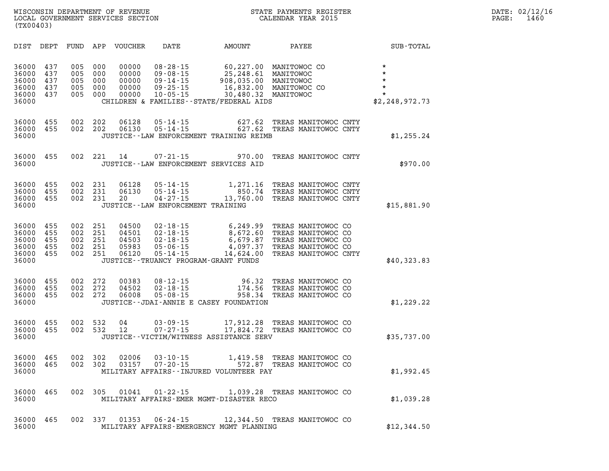**WISCONSIN DEPARTMENT OF REVENUE STATE PAYMENTS REGISTER DATE: 02/12/16**  LOCAL GOVERNMENT SERVICES SECTION **(TX00403)** 

| DIST                                               | DEPT                            | FUND                            | APP                             | <b>VOUCHER</b>                            | DATE                                                                                       | <b>AMOUNT</b>                                                                                             | PAYEE                                                                                                        | <b>SUB-TOTAL</b>                                                        |
|----------------------------------------------------|---------------------------------|---------------------------------|---------------------------------|-------------------------------------------|--------------------------------------------------------------------------------------------|-----------------------------------------------------------------------------------------------------------|--------------------------------------------------------------------------------------------------------------|-------------------------------------------------------------------------|
| 36000<br>36000<br>36000<br>36000<br>36000<br>36000 | 437<br>437<br>437<br>437<br>437 | 005<br>005<br>005<br>005<br>005 | 000<br>000<br>000<br>000<br>000 | 00000<br>00000<br>00000<br>00000<br>00000 | $08 - 28 - 15$<br>$09 - 08 - 15$<br>$09 - 14 - 15$<br>$09 - 25 - 15$<br>$10 - 05 - 15$     | 60,227.00<br>25,248.61<br>908,035.00<br>16,832.00<br>30,480.32<br>CHILDREN & FAMILIES--STATE/FEDERAL AIDS | MANITOWOC CO<br>MANITOWOC<br>MANITOWOC<br>MANITOWOC CO<br>MANITOWOC                                          | $\star$<br>$\star$<br>$\star$<br>$\star$<br>$\star$<br>\$2, 248, 972.73 |
| 36000<br>36000<br>36000                            | 455<br>455                      | 002<br>002                      | 202<br>202                      | 06128<br>06130                            | $05 - 14 - 15$<br>$05 - 14 - 15$                                                           | 627.62<br>627.62<br>JUSTICE--LAW ENFORCEMENT TRAINING REIMB                                               | TREAS MANITOWOC CNTY<br>TREAS MANITOWOC CNTY                                                                 | \$1,255.24                                                              |
| 36000<br>36000                                     | 455                             | 002                             | 221                             | 14                                        | $07 - 21 - 15$                                                                             | 970.00<br>JUSTICE--LAW ENFORCEMENT SERVICES AID                                                           | TREAS MANITOWOC CNTY                                                                                         | \$970.00                                                                |
| 36000<br>36000<br>36000<br>36000                   | 455<br>455<br>455               | 002<br>002<br>002               | 231<br>231<br>231               | 06128<br>06130<br>20                      | $05 - 14 - 15$<br>$05 - 14 - 15$<br>$04 - 27 - 15$<br>JUSTICE - - LAW ENFORCEMENT TRAINING | 1,271.16<br>850.74<br>13,760.00                                                                           | TREAS MANITOWOC CNTY<br>TREAS MANITOWOC CNTY<br>TREAS MANITOWOC CNTY                                         | \$15,881.90                                                             |
| 36000<br>36000<br>36000<br>36000<br>36000<br>36000 | 455<br>455<br>455<br>455<br>455 | 002<br>002<br>002<br>002<br>002 | 251<br>251<br>251<br>251<br>251 | 04500<br>04501<br>04503<br>05983<br>06120 | $02 - 18 - 15$<br>$02 - 18 - 15$<br>$02 - 18 - 15$<br>$05 - 06 - 15$<br>$05 - 14 - 15$     | 6,249.99<br>8,672.60<br>6,679.87<br>4,097.37<br>14,624.00<br>JUSTICE--TRUANCY PROGRAM-GRANT FUNDS         | TREAS MANITOWOC CO<br>TREAS MANITOWOC CO<br>TREAS MANITOWOC CO<br>TREAS MANITOWOC CO<br>TREAS MANITOWOC CNTY | \$40,323.83                                                             |
| 36000<br>36000<br>36000<br>36000                   | 455<br>455<br>455               | 002<br>002<br>002               | 272<br>272<br>272               | 00383<br>04502<br>06008                   | $08 - 12 - 15$<br>$02 - 18 - 15$<br>$05 - 08 - 15$                                         | 96.32<br>174.56<br>958.34<br>JUSTICE--JDAI-ANNIE E CASEY FOUNDATION                                       | TREAS MANITOWOC CO<br>TREAS MANITOWOC CO<br>TREAS MANITOWOC CO                                               | \$1,229.22                                                              |
| 36000<br>36000<br>36000                            | 455<br>455                      | 002<br>002                      | 532<br>532                      | 04<br>12                                  | $03 - 09 - 15$<br>$07 - 27 - 15$                                                           | 17,912.28<br>17,824.72<br>JUSTICE--VICTIM/WITNESS ASSISTANCE SERV                                         | TREAS MANITOWOC CO<br>TREAS MANITOWOC CO                                                                     | \$35,737.00                                                             |
| 36000<br>36000<br>36000                            | 465<br>465                      | 002<br>002                      | 302<br>302                      | 02006<br>03157                            | $03 - 10 - 15$<br>$07 - 20 - 15$                                                           | 1,419.58<br>572.87<br>MILITARY AFFAIRS -- INJURED VOLUNTEER PAY                                           | TREAS MANITOWOC CO<br>TREAS MANITOWOC CO                                                                     | \$1,992.45                                                              |
| 36000<br>36000                                     | 465                             | 002                             | 305                             | 01041                                     | $01 - 22 - 15$                                                                             | 1,039.28<br>MILITARY AFFAIRS-EMER MGMT-DISASTER RECO                                                      | TREAS MANITOWOC CO                                                                                           | \$1,039.28                                                              |
| 36000<br>36000                                     | 465                             | 002                             | 337                             | 01353                                     | $06 - 24 - 15$                                                                             | 12,344.50<br>MILITARY AFFAIRS-EMERGENCY MGMT PLANNING                                                     | TREAS MANITOWOC CO                                                                                           | \$12,344.50                                                             |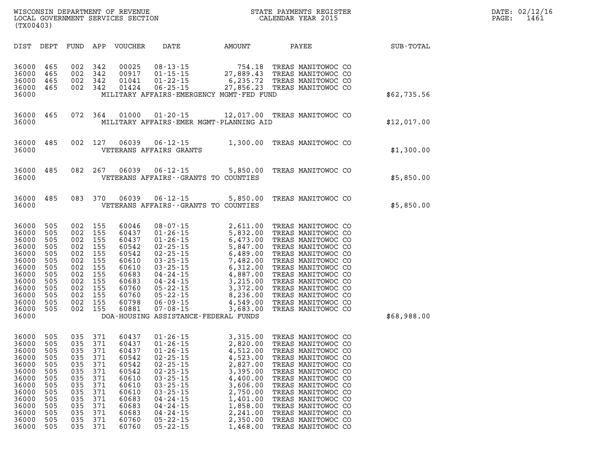| DATE:             | 02/12/16 |
|-------------------|----------|
| $\mathtt{PAGE}$ : | 1461     |

| WISCONSIN DEPARTMENT OF REVENUE<br>LOCAL GOVERNMENT SERVICES SECTION<br>(TX00403) |      |      |     |         |      |        | STATE PAYMENTS REGISTER<br>CALENDAR YEAR 2015 |           | PAGE: | DATE: 02/12/16<br>1461 |
|-----------------------------------------------------------------------------------|------|------|-----|---------|------|--------|-----------------------------------------------|-----------|-------|------------------------|
| DIST                                                                              | DEPT | FUND | APP | VOUCHER | DATE | AMOUNT | PAYEE                                         | SUB-TOTAL |       |                        |

|  | STATE PAYMENTS REGISTER |  |
|--|-------------------------|--|
|  | CALENDAR YEAR 2015      |  |

| DIST                                                                                                                       | DEPT                                                                                           | FUND                                                                                           | APP                                                                                            | <b>VOUCHER</b>                                                                                                             | DATE                                                                                                                                                                                                                                                              | AMOUNT                                                                                                                                                                                           | PAYEE                                                                                                                                                                                                                                                                                                            | SUB-TOTAL   |
|----------------------------------------------------------------------------------------------------------------------------|------------------------------------------------------------------------------------------------|------------------------------------------------------------------------------------------------|------------------------------------------------------------------------------------------------|----------------------------------------------------------------------------------------------------------------------------|-------------------------------------------------------------------------------------------------------------------------------------------------------------------------------------------------------------------------------------------------------------------|--------------------------------------------------------------------------------------------------------------------------------------------------------------------------------------------------|------------------------------------------------------------------------------------------------------------------------------------------------------------------------------------------------------------------------------------------------------------------------------------------------------------------|-------------|
| 36000<br>36000<br>36000<br>36000<br>36000                                                                                  | 465<br>465<br>465<br>465                                                                       | 002<br>002<br>002<br>002                                                                       | 342<br>342<br>342<br>342                                                                       | 00025<br>00917<br>01041<br>01424                                                                                           | $08 - 13 - 15$<br>$01 - 15 - 15$<br>$01 - 22 - 15$<br>$06 - 25 - 15$                                                                                                                                                                                              | $754.18$<br>27.889.13<br>6,235.72<br>27,856.23<br>MILITARY AFFAIRS-EMERGENCY MGMT-FED FUND                                                                                                       | TREAS MANITOWOC CO<br>TREAS MANITOWOC CO<br>TREAS MANITOWOC CO<br>TREAS MANITOWOC CO                                                                                                                                                                                                                             | \$62,735.56 |
| 36000<br>36000                                                                                                             | 465                                                                                            | 072                                                                                            | 364                                                                                            | 01000                                                                                                                      | $01 - 20 - 15$                                                                                                                                                                                                                                                    | MILITARY AFFAIRS-EMER MGMT-PLANNING AID                                                                                                                                                          | 12,017.00 TREAS MANITOWOC CO                                                                                                                                                                                                                                                                                     | \$12,017.00 |
| 36000<br>36000                                                                                                             | 485                                                                                            | 002                                                                                            | 127                                                                                            | 06039                                                                                                                      | $06 - 12 - 15$<br>VETERANS AFFAIRS GRANTS                                                                                                                                                                                                                         | 1,300.00                                                                                                                                                                                         | TREAS MANITOWOC CO                                                                                                                                                                                                                                                                                               | \$1,300.00  |
| 36000<br>36000                                                                                                             | 485                                                                                            | 082                                                                                            | 267                                                                                            | 06039                                                                                                                      | $06 - 12 - 15$                                                                                                                                                                                                                                                    | 5,850.00<br>VETERANS AFFAIRS - - GRANTS TO COUNTIES                                                                                                                                              | TREAS MANITOWOC CO                                                                                                                                                                                                                                                                                               | \$5,850.00  |
| 36000<br>36000                                                                                                             | 485                                                                                            | 083                                                                                            | 370                                                                                            | 06039                                                                                                                      | $06 - 12 - 15$                                                                                                                                                                                                                                                    | 5,850.00<br>VETERANS AFFAIRS -- GRANTS TO COUNTIES                                                                                                                                               | TREAS MANITOWOC CO                                                                                                                                                                                                                                                                                               | \$5,850.00  |
| 36000<br>36000<br>36000<br>36000<br>36000<br>36000<br>36000<br>36000<br>36000<br>36000<br>36000<br>36000<br>36000<br>36000 | 505<br>505<br>505<br>505<br>505<br>505<br>505<br>505<br>505<br>505<br>505<br>505<br>505        | 002<br>002<br>002<br>002<br>002<br>002<br>002<br>002<br>002<br>002<br>002<br>002<br>002        | 155<br>155<br>155<br>155<br>155<br>155<br>155<br>155<br>155<br>155<br>155<br>155<br>155        | 60046<br>60437<br>60437<br>60542<br>60542<br>60610<br>60610<br>60683<br>60683<br>60760<br>60760<br>60798<br>60881          | $08 - 07 - 15$<br>$01 - 26 - 15$<br>$01 - 26 - 15$<br>$02 - 25 - 15$<br>$02 - 25 - 15$<br>03 - 25 - 15<br>03 - 25 - 15<br>$04 - 24 - 15$<br>04 - 24 - 15<br>04 - 24 - 15<br>05 - 22 - 15<br>$05 - 22 - 15$<br>$06 - 09 - 15$<br>$07 - 08 - 15$                    | 2,611.00<br>5,832.00<br>6,473.00<br>5,847.00<br>6,489.00<br>7,482.00<br>6,312.00<br>4,887.00<br>3,215.00<br>3,372.00<br>8,236.00<br>4,549.00<br>3,683.00<br>DOA-HOUSING ASSISTANCE-FEDERAL FUNDS | TREAS MANITOWOC CO<br>TREAS MANITOWOC CO<br>TREAS MANITOWOC CO<br>TREAS MANITOWOC CO<br>TREAS MANITOWOC CO<br>TREAS MANITOWOC CO<br>TREAS MANITOWOC CO<br>TREAS MANITOWOC CO<br>TREAS MANITOWOC CO<br>TREAS MANITOWOC CO<br>TREAS MANITOWOC CO<br>TREAS MANITOWOC CO<br>TREAS MANITOWOC CO                       | \$68,988.00 |
| 36000<br>36000<br>36000<br>36000<br>36000<br>36000<br>36000<br>36000<br>36000<br>36000<br>36000<br>36000<br>36000<br>36000 | 505<br>505<br>505<br>505<br>505<br>505<br>505<br>505<br>505<br>505<br>505<br>505<br>505<br>505 | 035<br>035<br>035<br>035<br>035<br>035<br>035<br>035<br>035<br>035<br>035<br>035<br>035<br>035 | 371<br>371<br>371<br>371<br>371<br>371<br>371<br>371<br>371<br>371<br>371<br>371<br>371<br>371 | 60437<br>60437<br>60437<br>60542<br>60542<br>60542<br>60610<br>60610<br>60610<br>60683<br>60683<br>60683<br>60760<br>60760 | $01 - 26 - 15$<br>$01 - 26 - 15$<br>$01 - 26 - 15$<br>02 - 25 - 15<br>02 - 25 - 15<br>02 - 25 - 15<br>$03 - 25 - 15$ $03 - 25 - 15$ $03 - 25 - 15$ $04 - 24 - 15$ $04 - 24 - 15$ $04 - 24 - 15$ $04 - 24 - 15$ $05 - 22 - 15$<br>$05 - 22 - 15$<br>$05 - 22 - 15$ | 3,315.00<br>2,820.00<br>4,512.00<br>4,523.00<br>2,827.00<br>3,395.00<br>4,400.00<br>3,606.00<br>2,750.00<br>1,401.00<br>1,858.00<br>2,241.00<br>2,350.00<br>1,468.00                             | TREAS MANITOWOC CO<br>TREAS MANITOWOC CO<br>TREAS MANITOWOC CO<br>TREAS MANITOWOC CO<br>TREAS MANITOWOC CO<br>TREAS MANITOWOC CO<br>TREAS MANITOWOC CO<br>TREAS MANITOWOC CO<br>TREAS MANITOWOC CO<br>TREAS MANITOWOC CO<br>TREAS MANITOWOC CO<br>TREAS MANITOWOC CO<br>TREAS MANITOWOC CO<br>TREAS MANITOWOC CO |             |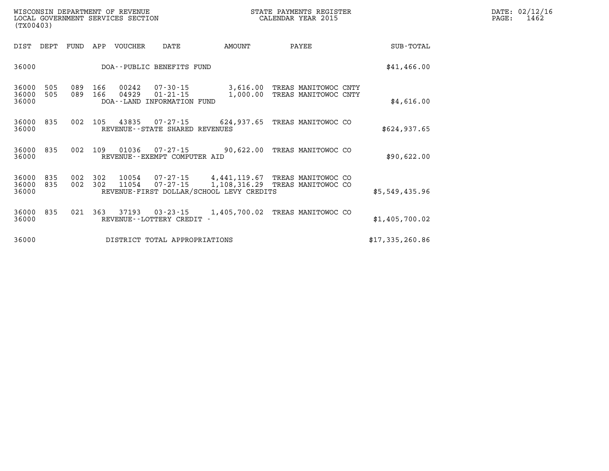| WISCONSIN DEPARTMENT OF REVENUE<br>LOCAL GOVERNMENT SERVICES SECTION<br>(TX00403) |                          |            |                |                                                                |                                                                          | STATE PAYMENTS REGISTER<br>CALENDAR YEAR 2015 | DATE: 02/12/16<br>1462<br>PAGE: |  |
|-----------------------------------------------------------------------------------|--------------------------|------------|----------------|----------------------------------------------------------------|--------------------------------------------------------------------------|-----------------------------------------------|---------------------------------|--|
| DIST<br>DEPT                                                                      | FUND                     | APP        | VOUCHER        | DATE                                                           | AMOUNT                                                                   | PAYEE                                         | <b>SUB-TOTAL</b>                |  |
| 36000                                                                             |                          |            |                | DOA--PUBLIC BENEFITS FUND                                      |                                                                          |                                               | \$41,466.00                     |  |
| 36000<br>36000<br>36000                                                           | 505<br>089<br>505<br>089 | 166<br>166 | 00242<br>04929 | $07 - 30 - 15$<br>$01 - 21 - 15$<br>DOA--LAND INFORMATION FUND | 3,616.00<br>1,000.00                                                     | TREAS MANITOWOC CNTY<br>TREAS MANITOWOC CNTY  | \$4,616.00                      |  |
| 36000<br>36000                                                                    | 835<br>002               | 105        | 43835          | 07-27-15<br>REVENUE - - STATE SHARED REVENUES                  | 624,937.65                                                               | TREAS MANITOWOC CO                            | \$624.937.65                    |  |
| 36000<br>36000                                                                    | 835<br>002               | 109        | 01036          | $07 - 27 - 15$<br>REVENUE--EXEMPT COMPUTER AID                 | 90,622.00                                                                | TREAS MANITOWOC CO                            | \$90,622.00                     |  |
| 36000<br>835<br>36000<br>36000                                                    | 002<br>835<br>002        | 302<br>302 | 10054<br>11054 | $07 - 27 - 15$<br>$07 - 27 - 15$                               | 4,441,119.67<br>1,108,316.29<br>REVENUE-FIRST DOLLAR/SCHOOL LEVY CREDITS | TREAS MANITOWOC CO<br>TREAS MANITOWOC CO      | \$5,549,435.96                  |  |
| 36000<br>36000                                                                    | 835<br>021               | 363        | 37193          | $03 - 23 - 15$<br>REVENUE - - LOTTERY CREDIT -                 | 1,405,700.02                                                             | TREAS MANITOWOC CO                            | \$1,405,700.02                  |  |
| 36000                                                                             |                          |            |                | DISTRICT TOTAL APPROPRIATIONS                                  |                                                                          |                                               | \$17,335,260.86                 |  |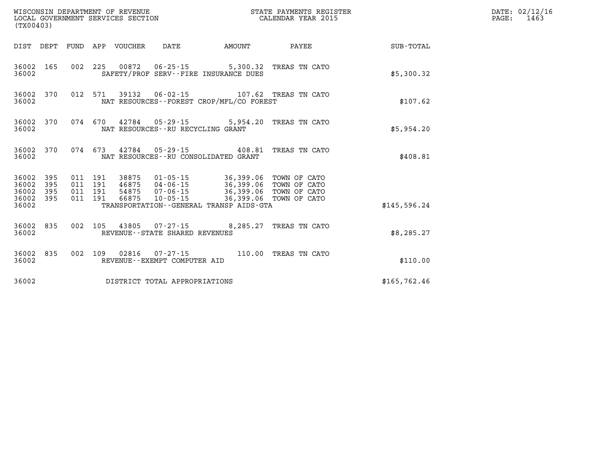| WISCONSIN DEPARTMENT OF REVENUE<br>LOCAL GOVERNMENT SERVICES SECTION<br>(TX00403) |            |                               |  |                            |                                      |                                                                                                                         | STATE PAYMENTS REGISTER<br>CALENDAR YEAR 2015 |              | DATE: 02/12/16<br>PAGE: 1463 |
|-----------------------------------------------------------------------------------|------------|-------------------------------|--|----------------------------|--------------------------------------|-------------------------------------------------------------------------------------------------------------------------|-----------------------------------------------|--------------|------------------------------|
|                                                                                   |            |                               |  | DIST DEPT FUND APP VOUCHER | DATE                                 | AMOUNT                                                                                                                  | PAYEE                                         | SUB-TOTAL    |                              |
| 36002 165<br>36002                                                                |            |                               |  |                            | 002 225 00872 06-25-15               | SAFETY/PROF SERV--FIRE INSURANCE DUES                                                                                   | 5,300.32 TREAS TN CATO                        | \$5,300.32   |                              |
| 36002                                                                             | 36002 370  | 012 571                       |  |                            |                                      | NAT RESOURCES - - FOREST CROP/MFL/CO FOREST                                                                             |                                               | \$107.62     |                              |
| 36002                                                                             | 36002 370  |                               |  |                            | NAT RESOURCES - - RU RECYCLING GRANT | 074 670 42784 05-29-15 5,954.20 TREAS TN CATO                                                                           |                                               | \$5,954.20   |                              |
| 36002 370<br>36002                                                                |            |                               |  |                            |                                      | 074 673 42784 05-29-15 408.81 TREAS TN CATO<br>NAT RESOURCES--RU CONSOLIDATED GRANT                                     |                                               | \$408.81     |                              |
| 36002 395<br>36002<br>36002                                                       | 395<br>395 | 011 191<br>011 191<br>011 191 |  | 54875                      | 07-06-15                             | 38875 01-05-15 36,399.06 TOWN OF CATO<br>46875  04-06-15  36,399.06<br>36,399.06 TOWN OF CATO<br>36,399.06 TOWN OF CATO | TOWN OF CATO                                  |              |                              |
| 36002 395<br>36002                                                                |            | 011 191                       |  | 66875                      | 10-05-15                             | TRANSPORTATION--GENERAL TRANSP AIDS-GTA                                                                                 |                                               | \$145,596.24 |                              |
| 36002 835<br>36002                                                                |            |                               |  |                            | REVENUE - - STATE SHARED REVENUES    | 002 105 43805 07-27-15 8,285.27 TREAS TN CATO                                                                           |                                               | \$8,285.27   |                              |
| 36002 835<br>36002                                                                |            |                               |  |                            | REVENUE--EXEMPT COMPUTER AID         | 002 109 02816 07-27-15 110.00 TREAS TN CATO                                                                             |                                               | \$110.00     |                              |
| 36002                                                                             |            |                               |  |                            | DISTRICT TOTAL APPROPRIATIONS        |                                                                                                                         |                                               | \$165,762.46 |                              |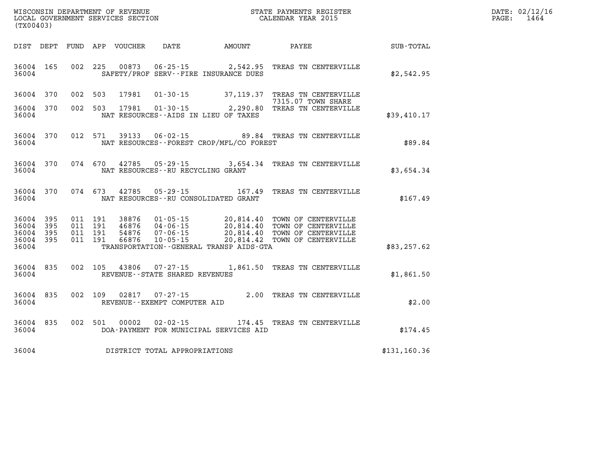| WISCONSIN DEPARTMENT<br>OF REVENUE   | PAYMENTS REGISTER<br>STATE | DATE: | $\ldots$ 62/12/12 |
|--------------------------------------|----------------------------|-------|-------------------|
| LOCAL<br>GOVERNMENT SERVICES SECTION | CALENDAR YEAR 2015         | PAGE. | -464              |

| (TX00403)                                 |                          |                          |                          |                                  |                                                                      |                                                                                             |                                                                                          |               |
|-------------------------------------------|--------------------------|--------------------------|--------------------------|----------------------------------|----------------------------------------------------------------------|---------------------------------------------------------------------------------------------|------------------------------------------------------------------------------------------|---------------|
| DIST                                      | DEPT                     | FUND                     | APP                      | VOUCHER DATE                     |                                                                      | AMOUNT                                                                                      | <b>PAYEE</b>                                                                             | SUB-TOTAL     |
| 36004<br>36004                            | 165                      | 002                      | 225                      | 00873                            |                                                                      | $06 - 25 - 15$ 2,542.95<br>SAFETY/PROF SERV--FIRE INSURANCE DUES                            | TREAS TN CENTERVILLE                                                                     | \$2,542.95    |
| 36004                                     | 370                      | 002                      | 503                      | 17981                            | $01 - 30 - 15$                                                       |                                                                                             | 37,119.37 TREAS TN CENTERVILLE<br>7315.07 TOWN SHARE                                     |               |
| 36004<br>36004                            | 370                      | 002                      | 503                      | 17981                            | $01 - 30 - 15$<br>NAT RESOURCES -- AIDS IN LIEU OF TAXES             | 2, 290.80                                                                                   | TREAS TN CENTERVILLE                                                                     | \$39,410.17   |
| 36004<br>36004                            | 370                      | 012                      | 571                      | 39133                            | $06 - 02 - 15$                                                       | NAT RESOURCES - - FOREST CROP/MFL/CO FOREST                                                 | 89.84 TREAS TN CENTERVILLE                                                               | \$89.84       |
| 36004<br>36004                            | 370                      | 074                      | 670                      | 42785                            | $05 - 29 - 15$<br>NAT RESOURCES - - RU RECYCLING GRANT               | 3,654.34                                                                                    | TREAS TN CENTERVILLE                                                                     | \$3,654.34    |
| 36004<br>36004                            | 370                      | 074                      | 673                      |                                  | 42785 05-29-15<br>NAT RESOURCES - - RU CONSOLIDATED GRANT            | 167.49                                                                                      | TREAS TN CENTERVILLE                                                                     | \$167.49      |
| 36004<br>36004<br>36004<br>36004<br>36004 | 395<br>395<br>395<br>395 | 011<br>011<br>011<br>011 | 191<br>191<br>191<br>191 | 38876<br>46876<br>54876<br>66876 | $01 - 05 - 15$<br>$04 - 06 - 15$<br>$07 - 06 - 15$<br>$10 - 05 - 15$ | 20,814.40<br>20,814.40<br>20,814.40<br>20,814.42<br>TRANSPORTATION--GENERAL TRANSP AIDS-GTA | TOWN OF CENTERVILLE<br>TOWN OF CENTERVILLE<br>TOWN OF CENTERVILLE<br>TOWN OF CENTERVILLE | \$83, 257.62  |
| 36004<br>36004                            | 835                      | 002                      | 105                      | 43806                            | $07 - 27 - 15$<br>REVENUE - - STATE SHARED REVENUES                  | 1,861.50                                                                                    | TREAS TN CENTERVILLE                                                                     | \$1,861.50    |
| 36004<br>36004                            | 835                      | 002                      | 109                      | 02817                            | $07 - 27 - 15$<br>REVENUE--EXEMPT COMPUTER AID                       | 2.00                                                                                        | TREAS TN CENTERVILLE                                                                     | \$2.00        |
| 36004<br>36004                            | 835                      | 002                      | 501                      | 00002                            | $02 - 02 - 15$                                                       | 174.45<br>DOA-PAYMENT FOR MUNICIPAL SERVICES AID                                            | TREAS TN CENTERVILLE                                                                     | \$174.45      |
| 36004                                     |                          |                          |                          |                                  | DISTRICT TOTAL APPROPRIATIONS                                        |                                                                                             |                                                                                          | \$131, 160.36 |

 ${\tt WISCONSIM\ DEPARTMENT\ OF\ REVIEWE} {\tt NISCONSIN\ DEPARTMENT\ OF\ REVIEWS\ DECTION\ CALENDAR\ YEAR\ 2015$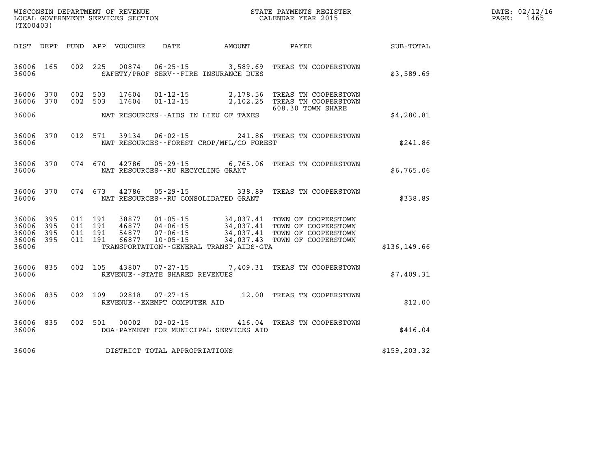| $\texttt{DATE}$ : | 02/12/16 |
|-------------------|----------|
| PAGE:             | 1465     |

|               |                                                                                          |                                                                                             |                                                                      |                                  |                          |                          |                          | (TX00403)                                 |
|---------------|------------------------------------------------------------------------------------------|---------------------------------------------------------------------------------------------|----------------------------------------------------------------------|----------------------------------|--------------------------|--------------------------|--------------------------|-------------------------------------------|
| SUB-TOTAL     | PAYEE                                                                                    | AMOUNT                                                                                      | DATE                                                                 | VOUCHER                          | APP                      | FUND                     | DEPT                     | DIST                                      |
| \$3,589.69    | TREAS TN COOPERSTOWN                                                                     | 3,589.69<br>SAFETY/PROF SERV--FIRE INSURANCE DUES                                           | $06 - 25 - 15$                                                       | 00874                            | 225                      | 002                      | 165                      | 36006<br>36006                            |
|               | TREAS TN COOPERSTOWN<br>TREAS TN COOPERSTOWN<br>608.30 TOWN SHARE                        | 2,178.56<br>2,102.25                                                                        | $01 - 12 - 15$<br>$01 - 12 - 15$                                     | 17604<br>17604                   | 503<br>503               | 002<br>002               | 370<br>370               | 36006<br>36006                            |
| \$4,280.81    |                                                                                          | NAT RESOURCES -- AIDS IN LIEU OF TAXES                                                      |                                                                      |                                  |                          |                          |                          | 36006                                     |
| \$241.86      | TREAS TN COOPERSTOWN                                                                     | 241.86<br>NAT RESOURCES - - FOREST CROP/MFL/CO FOREST                                       | $06 - 02 - 15$                                                       | 39134                            | 571                      | 012                      | 370                      | 36006<br>36006                            |
| \$6,765.06    | TREAS TN COOPERSTOWN                                                                     | 6,765.06                                                                                    | $05 - 29 - 15$<br>NAT RESOURCES - - RU RECYCLING GRANT               | 42786                            | 670                      | 074                      | 370                      | 36006<br>36006                            |
| \$338.89      | TREAS TN COOPERSTOWN                                                                     | 338.89<br>NAT RESOURCES - - RU CONSOLIDATED GRANT                                           | $05 - 29 - 15$                                                       | 42786                            | 673                      | 074                      | 370                      | 36006<br>36006                            |
| \$136, 149.66 | TOWN OF COOPERSTOWN<br>TOWN OF COOPERSTOWN<br>TOWN OF COOPERSTOWN<br>TOWN OF COOPERSTOWN | 34,037.41<br>34,037.41<br>34,037.41<br>34,037.43<br>TRANSPORTATION--GENERAL TRANSP AIDS-GTA | $01 - 05 - 15$<br>$04 - 06 - 15$<br>$07 - 06 - 15$<br>$10 - 05 - 15$ | 38877<br>46877<br>54877<br>66877 | 191<br>191<br>191<br>191 | 011<br>011<br>011<br>011 | 395<br>395<br>395<br>395 | 36006<br>36006<br>36006<br>36006<br>36006 |
| \$7,409.31    | TREAS TN COOPERSTOWN                                                                     | 7,409.31                                                                                    | $07 - 27 - 15$<br>REVENUE - - STATE SHARED REVENUES                  | 43807                            | 105                      | 002                      | 835                      | 36006<br>36006                            |
| \$12.00       | TREAS TN COOPERSTOWN                                                                     | 12.00                                                                                       | $07 - 27 - 15$<br>REVENUE--EXEMPT COMPUTER AID                       | 02818                            | 109                      | 002                      | 835                      | 36006<br>36006                            |
| \$416.04      | TREAS TN COOPERSTOWN                                                                     | 416.04<br>DOA-PAYMENT FOR MUNICIPAL SERVICES AID                                            | $02 - 02 - 15$                                                       | 00002                            | 501                      | 002                      | 835                      | 36006<br>36006                            |
| \$159, 203.32 |                                                                                          |                                                                                             | DISTRICT TOTAL APPROPRIATIONS                                        |                                  |                          |                          |                          | 36006                                     |

WISCONSIN DEPARTMENT OF REVENUE **STATE PAYMENTS REGISTER**<br>LOCAL GOVERNMENT SERVICES SECTION

LOCAL GOVERNMENT SERVICES SECTION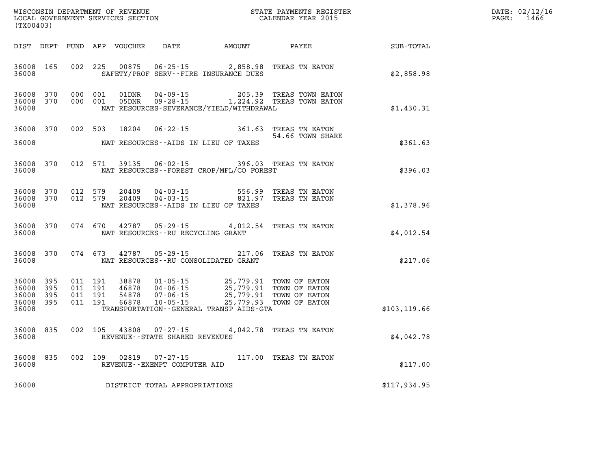| (TX00403)                                     |                                |         |                               |                         |                                   |                                                                                                                                                                                                                             |                                                                                           |                  | DATE: 02/12/16<br>$\mathtt{PAGE:}$<br>1466 |
|-----------------------------------------------|--------------------------------|---------|-------------------------------|-------------------------|-----------------------------------|-----------------------------------------------------------------------------------------------------------------------------------------------------------------------------------------------------------------------------|-------------------------------------------------------------------------------------------|------------------|--------------------------------------------|
|                                               |                                |         |                               |                         |                                   | DIST DEPT FUND APP VOUCHER DATE AMOUNT PAYEE                                                                                                                                                                                |                                                                                           | <b>SUB-TOTAL</b> |                                            |
| 36008 165<br>36008                            |                                |         |                               | 002 225 00875           |                                   | SAFETY/PROF SERV--FIRE INSURANCE DUES                                                                                                                                                                                       | 06-25-15 2,858.98 TREAS TN EATON                                                          | \$2,858.98       |                                            |
| 36008                                         | 36008 370 000 001<br>36008 370 |         | 000 001                       | 01DNR                   |                                   | NAT RESOURCES-SEVERANCE/YIELD/WITHDRAWAL                                                                                                                                                                                    | 01DNR  04-09-15  205.39 TREAS TOWN EATON<br>05DNR  09-28-15  1,224.92 TREAS TOWN EATON    | \$1,430.31       |                                            |
|                                               |                                |         |                               |                         |                                   |                                                                                                                                                                                                                             | 36008 370 002 503 18204 06-22-15 361.63 TREAS TN EATON<br>54.66 TOWN SHARE                |                  |                                            |
| 36008                                         |                                |         |                               |                         |                                   | NAT RESOURCES--AIDS IN LIEU OF TAXES                                                                                                                                                                                        |                                                                                           | \$361.63         |                                            |
| 36008                                         |                                |         |                               |                         |                                   | NAT RESOURCES--FOREST CROP/MFL/CO FOREST                                                                                                                                                                                    | 36008 370 012 571 39135 06-02-15 396.03 TREAS TN EATON                                    | \$396.03         |                                            |
| 36008 370<br>36008                            |                                |         |                               | 36008 370 012 579 20409 |                                   | NAT RESOURCES -- AIDS IN LIEU OF TAXES                                                                                                                                                                                      | 012 579 20409 04-03-15 556.99 TREAS TN EATON 012 579 20409 04-03-15 821.97 TREAS TN EATON | \$1,378.96       |                                            |
| 36008                                         |                                |         |                               |                         | NAT RESOURCES--RU RECYCLING GRANT |                                                                                                                                                                                                                             | 36008 370 074 670 42787 05-29-15 4,012.54 TREAS TN EATON                                  | \$4,012.54       |                                            |
| 36008                                         | 36008 370                      |         |                               |                         |                                   | NAT RESOURCES -- RU CONSOLIDATED GRANT                                                                                                                                                                                      | 074 673 42787 05-29-15 217.06 TREAS TN EATON                                              | \$217.06         |                                            |
| 36008 395<br>36008<br>36008<br>36008<br>36008 | 395<br>395<br>395              | 011 191 | 011 191<br>011 191<br>011 191 |                         |                                   | 38878  01-05-15  25,779.91  TOWN OF EATON<br>46878  04-06-15  25,779.91  TOWN OF EATON<br>54878  07-06-15  25,779.91  TOWN OF EATON<br>66878  10-05-15  25,779.93  TOWN OF EATON<br>TRANSPORTATION--GENERAL TRANSP AIDS-GTA |                                                                                           | \$103, 119.66    |                                            |
| 36008 835<br>36008                            |                                |         |                               |                         | REVENUE - - STATE SHARED REVENUES |                                                                                                                                                                                                                             | 002 105 43808 07-27-15 4,042.78 TREAS TN EATON                                            | \$4,042.78       |                                            |
| 36008                                         | 36008 835                      |         |                               |                         | REVENUE--EXEMPT COMPUTER AID      |                                                                                                                                                                                                                             | 002 109 02819 07-27-15 117.00 TREAS TN EATON                                              | \$117.00         |                                            |
| 36008                                         |                                |         |                               |                         | DISTRICT TOTAL APPROPRIATIONS     |                                                                                                                                                                                                                             |                                                                                           | \$117,934.95     |                                            |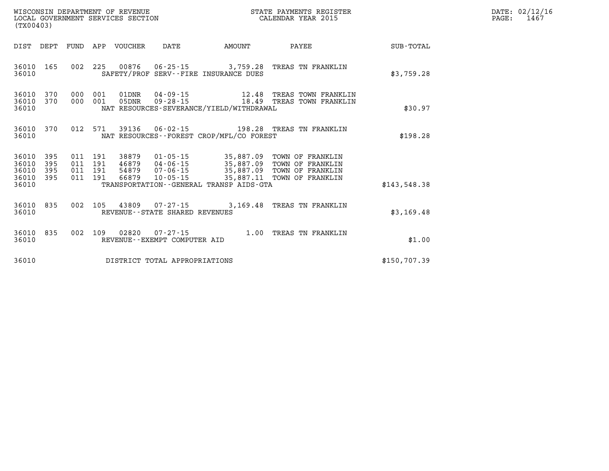| WISCONSIN DEPARTMENT OF REVENUE<br>LOCAL GOVERNMENT SERVICES SECTION<br>(TX00403)                                                                  |                                                                                                                                                                                                                             | STATE PAYMENTS REGISTER<br>CALENDAR YEAR 2015 |              | DATE: 02/12/16<br>PAGE:<br>1467 |
|----------------------------------------------------------------------------------------------------------------------------------------------------|-----------------------------------------------------------------------------------------------------------------------------------------------------------------------------------------------------------------------------|-----------------------------------------------|--------------|---------------------------------|
| FUND APP VOUCHER<br>DIST<br>DEPT                                                                                                                   | DATE<br><b>EXAMPLE THE AMOUNT</b>                                                                                                                                                                                           | PAYEE                                         | SUB-TOTAL    |                                 |
| 36010 165<br>36010                                                                                                                                 | 002 225 00876 06-25-15 3,759.28 TREAS TN FRANKLIN<br>SAFETY/PROF SERV--FIRE INSURANCE DUES                                                                                                                                  |                                               | \$3,759.28   |                                 |
| 36010<br>370<br>000 001<br>01DNR<br>370<br>36010<br>000 001<br>05DNR<br>36010                                                                      | 04-09-15 12.48 TREAS TOWN FRANKLIN<br>09-28-15 18.49 TREAS TOWN FRANKLIN<br>NAT RESOURCES-SEVERANCE/YIELD/WITHDRAWAL                                                                                                        |                                               | \$30.97      |                                 |
| 012 571<br>36010<br>370<br>36010                                                                                                                   | NAT RESOURCES--FOREST CROP/MFL/CO FOREST                                                                                                                                                                                    |                                               | \$198.28     |                                 |
| 395<br>011 191<br>38879<br>36010<br>36010<br>395<br>46879<br>011 191<br>36010<br>395<br>011 191<br>54879<br>36010 395<br>011 191<br>66879<br>36010 | 01-05-15 35,887.09 TOWN OF FRANKLIN<br>04-06-15 35,887.09 TOWN OF FRANKLIN<br>07-06-15 35,887.09 TOWN OF FRANKLIN<br>10-05-15 35,887.11 TOWN OF FRANKLIN<br>07-06-15<br>10-05-15<br>TRANSPORTATION--GENERAL TRANSP AIDS-GTA |                                               | \$143.548.38 |                                 |
| 36010<br>835<br>36010                                                                                                                              | 002 105 43809 07-27-15 3,169.48 TREAS TN FRANKLIN<br>REVENUE--STATE SHARED REVENUES                                                                                                                                         |                                               | \$3,169.48   |                                 |
| 002 109 02820<br>36010 835<br>36010                                                                                                                | 07-27-15 1.00 TREAS TN FRANKLIN<br>REVENUE--EXEMPT COMPUTER AID                                                                                                                                                             |                                               | \$1.00       |                                 |
| 36010                                                                                                                                              | DISTRICT TOTAL APPROPRIATIONS                                                                                                                                                                                               |                                               | \$150,707.39 |                                 |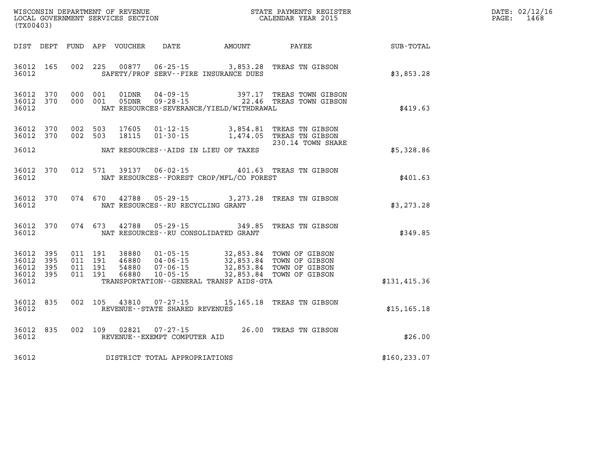| WISCONSIN DEPARTMENT OF REVENUE      | PAYMENTS REGISTER<br>3TATE | DATE: | 02/12/16 |
|--------------------------------------|----------------------------|-------|----------|
| GOVERNMENT SERVICES SECTION<br>LOCAL | CALENDAR YEAR 2015         | PAGE  | 1468     |

| (TX00403)                                             |           |                    | LOCAL GOVERNMENT SERVICES SECTION |                                                  |                                                                                                                                                                                                                                                                                                                                                                                          | CALENDAR YEAR 2015                                                                    |               | PAGE: | 1468 |
|-------------------------------------------------------|-----------|--------------------|-----------------------------------|--------------------------------------------------|------------------------------------------------------------------------------------------------------------------------------------------------------------------------------------------------------------------------------------------------------------------------------------------------------------------------------------------------------------------------------------------|---------------------------------------------------------------------------------------|---------------|-------|------|
| DIST DEPT                                             |           |                    | FUND APP VOUCHER                  |                                                  |                                                                                                                                                                                                                                                                                                                                                                                          | DATE AMOUNT PAYEE                                                                     | SUB-TOTAL     |       |      |
| 36012                                                 | 36012 165 | 002 225            |                                   |                                                  | SAFETY/PROF SERV--FIRE INSURANCE DUES                                                                                                                                                                                                                                                                                                                                                    | 00877  06-25-15  3,853.28  TREAS TN GIBSON                                            | \$3,853.28    |       |      |
| 36012 370<br>36012 370<br>36012                       |           | 000 001<br>000 001 |                                   |                                                  | NAT RESOURCES-SEVERANCE/YIELD/WITHDRAWAL                                                                                                                                                                                                                                                                                                                                                 | 01DNR  04-09-15  397.17 TREAS TOWN GIBSON<br>05DNR  09-28-15  22.46 TREAS TOWN GIBSON | \$419.63      |       |      |
| 36012 370<br>36012 370                                |           | 002 503<br>002 503 | 17605<br>18115                    | $01 - 30 - 15$                                   |                                                                                                                                                                                                                                                                                                                                                                                          | 01-12-15 3,854.81 TREAS TN GIBSON<br>1,474.05 TREAS TN GIBSON                         |               |       |      |
| 36012                                                 |           |                    |                                   |                                                  | NAT RESOURCES--AIDS IN LIEU OF TAXES                                                                                                                                                                                                                                                                                                                                                     | 230.14 TOWN SHARE                                                                     | \$5,328.86    |       |      |
| 36012 370<br>36012                                    |           | 012 571            | 39137                             | $06 - 02 - 15$                                   | NAT RESOURCES - - FOREST CROP/MFL/CO FOREST                                                                                                                                                                                                                                                                                                                                              | 401.63 TREAS TN GIBSON                                                                | \$401.63      |       |      |
| 36012 370<br>36012                                    |           | 074 670            | 42788                             |                                                  | NAT RESOURCES -- RU RECYCLING GRANT                                                                                                                                                                                                                                                                                                                                                      | 05-29-15 3,273.28 TREAS TN GIBSON                                                     | \$3,273.28    |       |      |
| 36012 370<br>36012                                    |           | 074 673            | 42788                             | $05 - 29 - 15$                                   | NAT RESOURCES - - RU CONSOLIDATED GRANT                                                                                                                                                                                                                                                                                                                                                  | 349.85 TREAS TN GIBSON                                                                | \$349.85      |       |      |
| 36012 395<br>36012 395<br>36012<br>36012 395<br>36012 | 395       |                    |                                   |                                                  | $\begin{array}{cccc} 011 & 191 & 38880 & 01\cdot 05\cdot 15 & 32\, , 853\, .84 & \text{TOWN OF GIBSON} \\ 011 & 191 & 46880 & 04\cdot 06\cdot 15 & 32\, , 853\, .84 & \text{TOWN OF GIBSON} \\ 011 & 191 & 54880 & 07\cdot 06\cdot 15 & 32\, , 853\, .84 & \text{TOWN OF GIBSON} \\ 011 & 191 & 66880 & 10\cdot 05\cdot 15 & 32\, , 853$<br>TRANSPORTATION - - GENERAL TRANSP AIDS - GTA |                                                                                       | \$131,415.36  |       |      |
| 36012 835<br>36012                                    |           | 002 105            | 43810                             | $07 - 27 - 15$<br>REVENUE--STATE SHARED REVENUES |                                                                                                                                                                                                                                                                                                                                                                                          | 15,165.18 TREAS TN GIBSON                                                             | \$15, 165.18  |       |      |
| 36012<br>36012                                        | 835       | 002 109            | 02821                             | $07 - 27 - 15$<br>REVENUE--EXEMPT COMPUTER AID   |                                                                                                                                                                                                                                                                                                                                                                                          | 26.00 TREAS TN GIBSON                                                                 | \$26.00       |       |      |
| 36012                                                 |           |                    |                                   | DISTRICT TOTAL APPROPRIATIONS                    |                                                                                                                                                                                                                                                                                                                                                                                          |                                                                                       | \$160, 233.07 |       |      |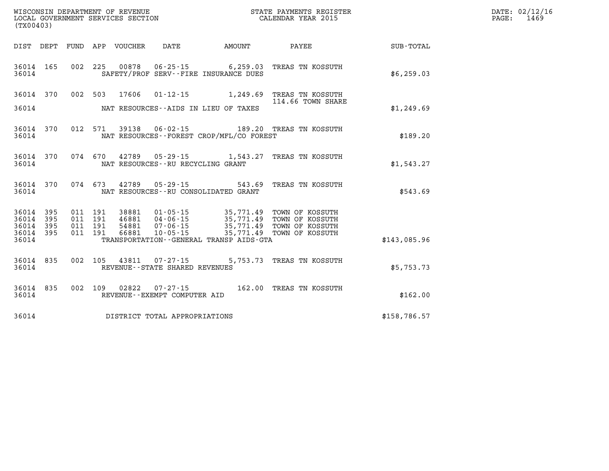| WISCONSIN DEPARTMENT OF REVENUE<br>LOCAL GOVERNMENT SERVICES SECTION<br>LOCAL GOVERNMENT SERVICES SECTION<br>CALENDAR YEAR 2015<br>(TX00403) |                        |  |  |  |                                                                           |                                            |                                                                                                                                                                                    |              | DATE: 02/12/16<br>PAGE: 1469 |
|----------------------------------------------------------------------------------------------------------------------------------------------|------------------------|--|--|--|---------------------------------------------------------------------------|--------------------------------------------|------------------------------------------------------------------------------------------------------------------------------------------------------------------------------------|--------------|------------------------------|
|                                                                                                                                              |                        |  |  |  |                                                                           |                                            | DIST DEPT FUND APP VOUCHER DATE AMOUNT PAYEE SUB-TOTAL                                                                                                                             |              |                              |
|                                                                                                                                              | 36014                  |  |  |  |                                                                           | SAFETY/PROF SERV--FIRE INSURANCE DUES      | 36014 165 002 225 00878 06-25-15 6,259.03 TREAS TN KOSSUTH                                                                                                                         | \$6,259.03   |                              |
|                                                                                                                                              |                        |  |  |  |                                                                           |                                            | 36014 370 002 503 17606 01-12-15 1,249.69 TREAS TN KOSSUTH<br>114.66 TOWN SHARE                                                                                                    |              |                              |
|                                                                                                                                              |                        |  |  |  |                                                                           | 36014 MAT RESOURCES--AIDS IN LIEU OF TAXES |                                                                                                                                                                                    | \$1,249.69   |                              |
|                                                                                                                                              | 36014                  |  |  |  |                                                                           | NAT RESOURCES--FOREST CROP/MFL/CO FOREST   | 36014 370 012 571 39138 06-02-15 189.20 TREAS TN KOSSUTH                                                                                                                           | \$189.20     |                              |
| 36014                                                                                                                                        |                        |  |  |  |                                                                           | NAT RESOURCES--RU RECYCLING GRANT          | 36014 370 074 670 42789 05-29-15 1,543.27 TREAS TN KOSSUTH                                                                                                                         | \$1,543.27   |                              |
|                                                                                                                                              |                        |  |  |  |                                                                           | 36014 NAT RESOURCES--RU CONSOLIDATED GRANT | 36014 370 074 673 42789 05-29-15 543.69 TREAS TN KOSSUTH                                                                                                                           | \$543.69     |                              |
|                                                                                                                                              | 36014 395<br>36014 395 |  |  |  |                                                                           |                                            | 011 191 38881 01-05-15 35,771.49 TOWN OF KOSSUTH<br>011 191 46881 04-06-15 35,771.49 TOWN OF KOSSUTH<br>011 191 54881 07-06-15 35,771.49 TOWN OF KOSSUTH<br>011 191 66881 10-05-15 |              |                              |
|                                                                                                                                              | 36014 395<br>36014 395 |  |  |  |                                                                           |                                            |                                                                                                                                                                                    |              |                              |
| 36014                                                                                                                                        |                        |  |  |  |                                                                           | TRANSPORTATION--GENERAL TRANSP AIDS-GTA    |                                                                                                                                                                                    | \$143,085.96 |                              |
|                                                                                                                                              |                        |  |  |  | 36014 835 002 105 43811 07-27-15<br>36014 REVENUE - STATE SHARED REVENUES |                                            | 5,753.73 TREAS TN KOSSUTH                                                                                                                                                          | \$5,753.73   |                              |
| 36014                                                                                                                                        |                        |  |  |  | REVENUE--EXEMPT COMPUTER AID                                              |                                            | 36014 835 002 109 02822 07-27-15 162.00 TREAS TN KOSSUTH                                                                                                                           | \$162.00     |                              |
|                                                                                                                                              |                        |  |  |  | 36014 DISTRICT TOTAL APPROPRIATIONS                                       |                                            |                                                                                                                                                                                    | \$158,786.57 |                              |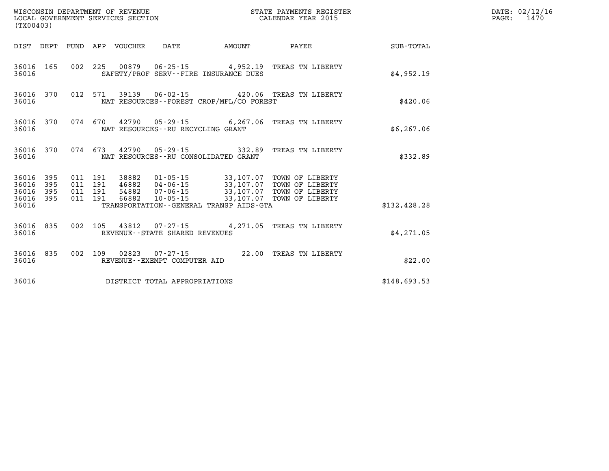| (TX00403) |                                                  |  |  |                                 |                                      |                                          |                                                                                                                                                                                                                                                                                                                                             |                        | DATE: 02/12/16<br>PAGE: 1470 |
|-----------|--------------------------------------------------|--|--|---------------------------------|--------------------------------------|------------------------------------------|---------------------------------------------------------------------------------------------------------------------------------------------------------------------------------------------------------------------------------------------------------------------------------------------------------------------------------------------|------------------------|------------------------------|
|           |                                                  |  |  | DIST DEPT FUND APP VOUCHER DATE |                                      |                                          |                                                                                                                                                                                                                                                                                                                                             | AMOUNT PAYEE SUB-TOTAL |                              |
| 36016     | 36016 165                                        |  |  |                                 |                                      | SAFETY/PROF SERV--FIRE INSURANCE DUES    | 002 225 00879 06-25-15 4,952.19 TREAS TN LIBERTY                                                                                                                                                                                                                                                                                            | \$4,952.19             |                              |
| 36016     | 36016 370                                        |  |  |                                 |                                      | NAT RESOURCES--FOREST CROP/MFL/CO FOREST | 012 571 39139 06-02-15 420.06 TREAS TN LIBERTY                                                                                                                                                                                                                                                                                              | \$420.06               |                              |
| 36016     |                                                  |  |  |                                 | NAT RESOURCES - - RU RECYCLING GRANT |                                          | 36016 370 074 670 42790 05-29-15 6,267.06 TREAS TN LIBERTY                                                                                                                                                                                                                                                                                  | \$6,267.06             |                              |
| 36016     | 36016 370                                        |  |  |                                 |                                      | NAT RESOURCES--RU CONSOLIDATED GRANT     | 074 673 42790 05-29-15 332.89 TREAS TN LIBERTY                                                                                                                                                                                                                                                                                              | \$332.89               |                              |
|           | 36016 395<br>36016 395<br>36016 395<br>36016 395 |  |  |                                 |                                      |                                          | $\begin{array}{cccc} 011 & 191 & 38882 & 01\cdot 05\cdot 15 & 33\,, 107\,.07 & \textrm{TOWN OF LIBERTY} \\ 011 & 191 & 46882 & 04\cdot 06\cdot 15 & 33\,, 107\,.07 & \textrm{TOWN OF LIBERTY} \\ 011 & 191 & 54882 & 07\cdot 06\cdot 15 & 33\,, 107\,.07 & \textrm{TOWN OF LIBERTY} \\ 011 & 191 & 66882 & 10\cdot 05\cdot 15 & 33\,, 107\$ |                        |                              |
| 36016     |                                                  |  |  |                                 |                                      | TRANSPORTATION--GENERAL TRANSP AIDS-GTA  |                                                                                                                                                                                                                                                                                                                                             | \$132,428.28           |                              |
| 36016     | 36016 835                                        |  |  |                                 | REVENUE--STATE SHARED REVENUES       |                                          | 002 105 43812 07-27-15 4,271.05 TREAS TN LIBERTY                                                                                                                                                                                                                                                                                            | \$4,271.05             |                              |
| 36016     | 36016 835                                        |  |  |                                 | REVENUE--EXEMPT COMPUTER AID         |                                          | 002 109 02823 07-27-15 22.00 TREAS TN LIBERTY                                                                                                                                                                                                                                                                                               | \$22.00                |                              |
| 36016     |                                                  |  |  |                                 | DISTRICT TOTAL APPROPRIATIONS        |                                          |                                                                                                                                                                                                                                                                                                                                             | \$148,693.53           |                              |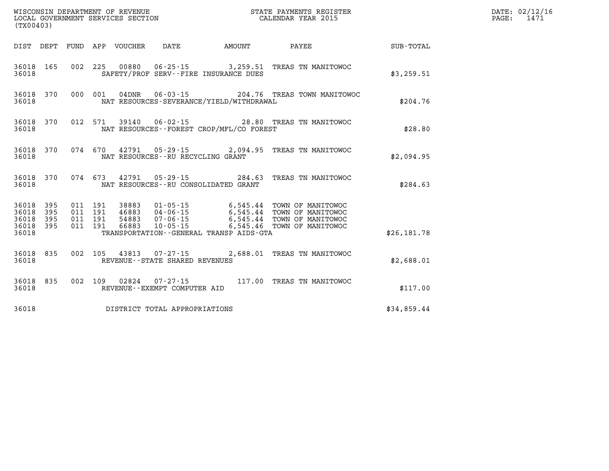| WISCONSIN DEPARTMENT OF REVENUE<br>LOCAL GOVERNMENT SERVICES SECTION<br>CALENDAR YEAR 2015<br>(TX00403) |  |  |  |  |                                   |                                          |                                                                                                                                                                                                                                        |              | DATE: 02/12/16<br>PAGE: 1471 |
|---------------------------------------------------------------------------------------------------------|--|--|--|--|-----------------------------------|------------------------------------------|----------------------------------------------------------------------------------------------------------------------------------------------------------------------------------------------------------------------------------------|--------------|------------------------------|
|                                                                                                         |  |  |  |  |                                   |                                          | DIST DEPT FUND APP VOUCHER DATE AMOUNT PAYEE PAYEE SUB-TOTAL                                                                                                                                                                           |              |                              |
| 36018                                                                                                   |  |  |  |  |                                   | SAFETY/PROF SERV--FIRE INSURANCE DUES    | 36018 165 002 225 00880 06-25-15 3,259.51 TREAS TN MANITOWOC                                                                                                                                                                           | \$3,259.51   |                              |
| 36018                                                                                                   |  |  |  |  |                                   | NAT RESOURCES-SEVERANCE/YIELD/WITHDRAWAL | 36018 370 000 001 04DNR 06-03-15 204.76 TREAS TOWN MANITOWOC                                                                                                                                                                           | \$204.76     |                              |
| 36018                                                                                                   |  |  |  |  |                                   | NAT RESOURCES--FOREST CROP/MFL/CO FOREST | 36018 370 012 571 39140 06-02-15 28.80 TREAS TN MANITOWOC                                                                                                                                                                              | \$28.80      |                              |
| 36018                                                                                                   |  |  |  |  | NAT RESOURCES--RU RECYCLING GRANT |                                          | 36018 370 074 670 42791 05-29-15 2,094.95 TREAS TN MANITOWOC                                                                                                                                                                           | \$2.094.95   |                              |
| 36018                                                                                                   |  |  |  |  |                                   | NAT RESOURCES--RU CONSOLIDATED GRANT     | 36018 370 074 673 42791 05-29-15 284.63 TREAS TN MANITOWOC                                                                                                                                                                             | \$284.63     |                              |
|                                                                                                         |  |  |  |  |                                   |                                          | 36018 395 011 191 38883 01-05-15 6,545.44 TOWN OF MANITOWOC<br>36018 395 011 191 46883 04-06-15 6,545.44 TOWN OF MANITOWOC<br>36018 395 011 191 54883 07-06-15 6,545.44 TOWN OF MANITOWOC<br>36018 395 011 191 66883 10-05-15 6,545.46 |              |                              |
|                                                                                                         |  |  |  |  |                                   |                                          |                                                                                                                                                                                                                                        |              |                              |
| 36018                                                                                                   |  |  |  |  |                                   | TRANSPORTATION--GENERAL TRANSP AIDS-GTA  |                                                                                                                                                                                                                                        | \$26, 181.78 |                              |
| 36018                                                                                                   |  |  |  |  | REVENUE - - STATE SHARED REVENUES |                                          | 36018 835 002 105 43813 07-27-15 2,688.01 TREAS TN MANITOWOC                                                                                                                                                                           | \$2,688.01   |                              |
| 36018                                                                                                   |  |  |  |  | REVENUE--EXEMPT COMPUTER AID      |                                          | 36018 835 002 109 02824 07-27-15 117.00 TREAS TN MANITOWOC                                                                                                                                                                             | \$117.00     |                              |
| 36018                                                                                                   |  |  |  |  | DISTRICT TOTAL APPROPRIATIONS     |                                          |                                                                                                                                                                                                                                        | \$34,859.44  |                              |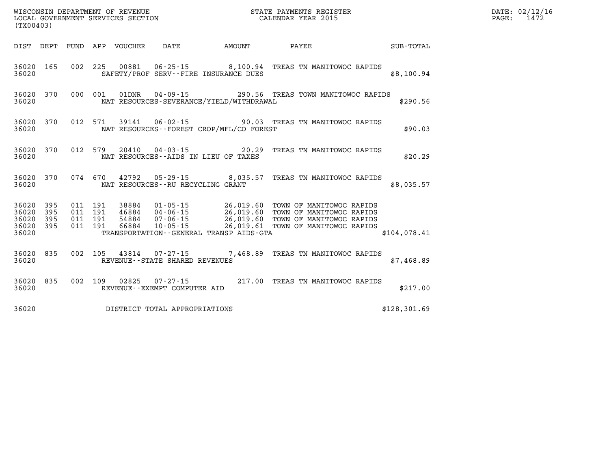| (TX00403)                       |                        |  |                                     |                                          | WISCONSIN DEPARTMENT OF REVENUE<br>LOCAL GOVERNMENT SERVICES SECTION<br>CALENDAR YEAR 2015                                                                                                                                              |               | DATE: 02/12/16<br>PAGE: 1472 |
|---------------------------------|------------------------|--|-------------------------------------|------------------------------------------|-----------------------------------------------------------------------------------------------------------------------------------------------------------------------------------------------------------------------------------------|---------------|------------------------------|
|                                 |                        |  |                                     |                                          | DIST DEPT FUND APP VOUCHER DATE AMOUNT PAYEE PAYEE SUB-TOTAL                                                                                                                                                                            |               |                              |
| 36020                           |                        |  |                                     | SAFETY/PROF SERV--FIRE INSURANCE DUES    | 36020 165 002 225 00881 06-25-15 8,100.94 TREAS TN MANITOWOC RAPIDS                                                                                                                                                                     | \$8,100.94    |                              |
| 36020                           |                        |  |                                     | NAT RESOURCES-SEVERANCE/YIELD/WITHDRAWAL | 36020 370 000 001 01DNR 04-09-15 290.56 TREAS TOWN MANITOWOC RAPIDS                                                                                                                                                                     | \$290.56      |                              |
| 36020                           |                        |  |                                     | NAT RESOURCES--FOREST CROP/MFL/CO FOREST | 36020 370 012 571 39141 06-02-15 90.03 TREAS TN MANITOWOC RAPIDS                                                                                                                                                                        | \$90.03       |                              |
| 36020                           |                        |  |                                     | NAT RESOURCES--AIDS IN LIEU OF TAXES     | 36020 370 012 579 20410 04-03-15 20.29 TREAS TN MANITOWOC RAPIDS                                                                                                                                                                        | \$20.29       |                              |
|                                 |                        |  |                                     | 36020 NAT RESOURCES--RU RECYCLING GRANT  | 36020 370 074 670 42792 05-29-15 8,035.57 TREAS TN MANITOWOC RAPIDS                                                                                                                                                                     | \$8,035.57    |                              |
| 36020 395<br>36020 395<br>36020 | 36020 395<br>36020 395 |  |                                     | TRANSPORTATION--GENERAL TRANSP AIDS-GTA  | 011 191 38884 01-05-15 26,019.60 TOWN OF MANITOWOC RAPIDS<br>011 191 46884 04-06-15 26,019.60 TOWN OF MANITOWOC RAPIDS<br>011 191 54884 07-06-15 26,019.60 TOWN OF MANITOWOC RAPIDS<br>011 191 66884 10-05-15 26,019.61 TOWN OF MANITOW | \$104,078.41  |                              |
| 36020                           |                        |  | 36020 835 002 105 43814 07-27-15    | REVENUE - - STATE SHARED REVENUES        | 7,468.89 TREAS TN MANITOWOC RAPIDS                                                                                                                                                                                                      | \$7,468.89    |                              |
| 36020                           |                        |  | REVENUE--EXEMPT COMPUTER AID        |                                          | 36020 835 002 109 02825 07-27-15 217.00 TREAS TN MANITOWOC RAPIDS                                                                                                                                                                       | \$217.00      |                              |
|                                 |                        |  | 36020 DISTRICT TOTAL APPROPRIATIONS |                                          |                                                                                                                                                                                                                                         | \$128, 301.69 |                              |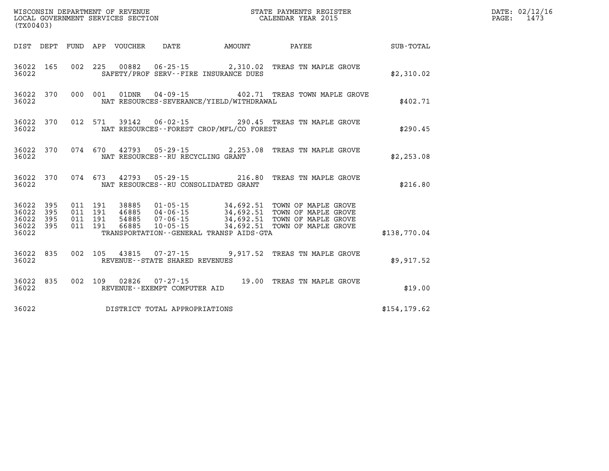| (TX00403) |  |  |                                         |                                                | WISCONSIN DEPARTMENT OF REVENUE<br>LOCAL GOVERNMENT SERVICES SECTION THE STATE PAYMENTS REGISTER<br>(TWOO403)                                                                                                                          |               | DATE: 02/12/16<br>PAGE: 1473 |
|-----------|--|--|-----------------------------------------|------------------------------------------------|----------------------------------------------------------------------------------------------------------------------------------------------------------------------------------------------------------------------------------------|---------------|------------------------------|
|           |  |  |                                         |                                                | DIST DEPT FUND APP VOUCHER DATE AMOUNT PAYEE PAYER SUB-TOTAL                                                                                                                                                                           |               |                              |
|           |  |  |                                         | 36022 SAFETY/PROF SERV--FIRE INSURANCE DUES    | 36022 165 002 225 00882 06-25-15 2,310.02 TREAS TN MAPLE GROVE                                                                                                                                                                         | \$2,310.02    |                              |
|           |  |  |                                         | 36022 NAT RESOURCES-SEVERANCE/YIELD/WITHDRAWAL | 36022 370 000 001 01DNR 04-09-15 402.71 TREAS TOWN MAPLE GROVE                                                                                                                                                                         | \$402.71      |                              |
|           |  |  |                                         | 36022 NAT RESOURCES--FOREST CROP/MFL/CO FOREST | 36022 370 012 571 39142 06-02-15 290.45 TREAS TN MAPLE GROVE                                                                                                                                                                           | \$290.45      |                              |
|           |  |  | 36022 NAT RESOURCES--RU RECYCLING GRANT |                                                | 36022 370 074 670 42793 05-29-15 2,253.08 TREAS TN MAPLE GROVE                                                                                                                                                                         | \$2,253.08    |                              |
|           |  |  |                                         | 36022 NAT RESOURCES--RU CONSOLIDATED GRANT     | 36022 370 074 673 42793 05-29-15 216.80 TREAS TN MAPLE GROVE                                                                                                                                                                           | \$216.80      |                              |
|           |  |  |                                         |                                                | 36022 395 011 191 38885 01-05-15 34,692.51 TOWN OF MAPLE GROVE<br>36022 395 011 191 46885 04-06-15 34,692.51 TOWN OF MAPLE GROVE<br>36022 395 011 191 54885 07-06-15 34,692.51 TOWN OF MAPLE GROVE<br>36022 395 011 191 66885 10-05-15 |               |                              |
| 36022     |  |  |                                         | TRANSPORTATION - - GENERAL TRANSP AIDS - GTA   |                                                                                                                                                                                                                                        | \$138,770.04  |                              |
|           |  |  | 36022 REVENUE - STATE SHARED REVENUES   |                                                | 36022 835 002 105 43815 07-27-15 9,917.52 TREAS TN MAPLE GROVE                                                                                                                                                                         | \$9,917.52    |                              |
|           |  |  |                                         |                                                | $\begin{array}{cccc} 36022 & 835 & 002 & 109 & 02826 & 07\text{-}27\text{-}15 & 19.00 & \text{TREAS TN MAPLE GROVE} \\ 36022 & \text{REVENUE}\text{-EXEMPT COMPUTER AID & \end{array}$                                                 | \$19.00       |                              |
|           |  |  | 36022 DISTRICT TOTAL APPROPRIATIONS     |                                                |                                                                                                                                                                                                                                        | \$154, 179.62 |                              |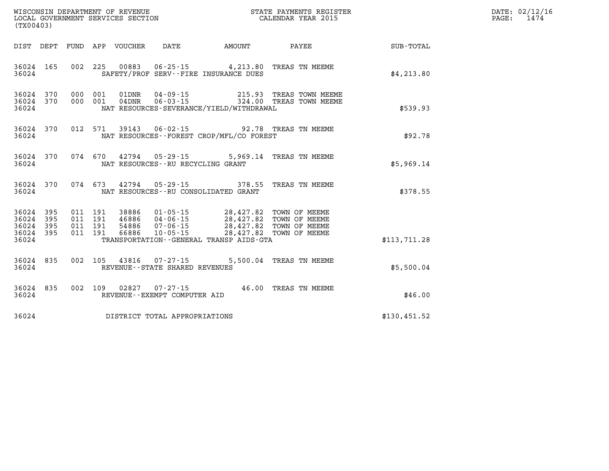| (TX00403)                                        |  |  |                                     |                                                                                                                                                                                                      |                                                                                                  |                                                    | DATE: 02/12/16<br>PAGE: 1474 |
|--------------------------------------------------|--|--|-------------------------------------|------------------------------------------------------------------------------------------------------------------------------------------------------------------------------------------------------|--------------------------------------------------------------------------------------------------|----------------------------------------------------|------------------------------|
|                                                  |  |  |                                     |                                                                                                                                                                                                      |                                                                                                  | DIST DEPT FUND APP VOUCHER DATE AMOUNT PAYEE TOTAL |                              |
| 36024 165<br>36024                               |  |  |                                     | 002 225 00883 06-25-15 4,213.80 TREAS TN MEEME<br>SAFETY/PROF SERV--FIRE INSURANCE DUES                                                                                                              |                                                                                                  | \$4,213.80                                         |                              |
| 36024 370<br>36024 370<br>36024                  |  |  |                                     | NAT RESOURCES-SEVERANCE/YIELD/WITHDRAWAL                                                                                                                                                             | 000 001 01DNR 04-09-15 215.93 TREAS TOWN MEEME<br>000 001 04DNR 06-03-15 324.00 TREAS TOWN MEEME | \$539.93                                           |                              |
| 36024 370<br>36024                               |  |  |                                     | 012 571 39143 06-02-15 92.78 TREAS TN MEEME<br>NAT RESOURCES--FOREST CROP/MFL/CO FOREST                                                                                                              |                                                                                                  | \$92.78                                            |                              |
| 36024                                            |  |  |                                     | 36024 370 074 670 42794 05-29-15 5,969.14 TREAS TN MEEME<br>NAT RESOURCES--RU RECYCLING GRANT                                                                                                        |                                                                                                  | \$5,969.14                                         |                              |
| 36024 370<br>36024                               |  |  |                                     | 074 673 42794 05-29-15 378.55 TREAS TN MEEME<br>NAT RESOURCES--RU CONSOLIDATED GRANT                                                                                                                 |                                                                                                  | \$378.55                                           |                              |
| 36024 395<br>36024 395<br>36024 395<br>36024 395 |  |  |                                     | 011 191 38886 01-05-15 28,427.82 TOWN OF MEEME<br>011 191 46886 04-06-15 28,427.82 TOWN OF MEEME<br>011 191 54886 07-06-15 28,427.82 TOWN OF MEEME<br>011 191 66886 10-05-15 28,427.82 TOWN OF MEEME |                                                                                                  |                                                    |                              |
| 36024                                            |  |  |                                     | TRANSPORTATION - - GENERAL TRANSP AIDS - GTA                                                                                                                                                         |                                                                                                  | \$113,711.28                                       |                              |
| 36024 835<br>36024                               |  |  |                                     | 002 105 43816 07-27-15 5,500.04 TREAS TN MEEME<br>REVENUE - - STATE SHARED REVENUES                                                                                                                  |                                                                                                  | \$5,500.04                                         |                              |
| 36024 835<br>36024                               |  |  | REVENUE--EXEMPT COMPUTER AID        | 002 109 02827 07-27-15 46.00 TREAS TN MEEME                                                                                                                                                          |                                                                                                  | \$46.00                                            |                              |
|                                                  |  |  | 36024 DISTRICT TOTAL APPROPRIATIONS |                                                                                                                                                                                                      |                                                                                                  | \$130,451.52                                       |                              |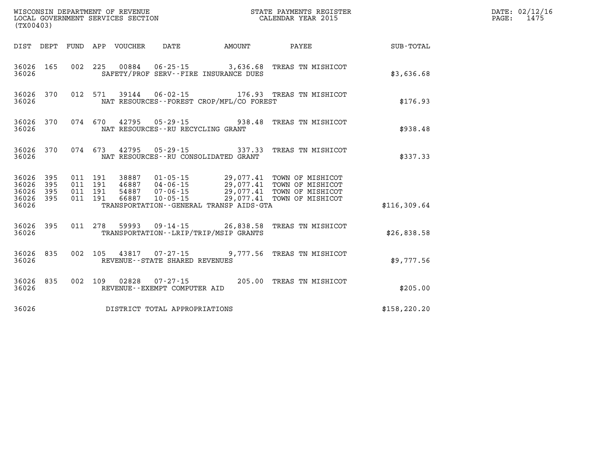| (TX00403) |  |  |                                   |                                              | WISCONSIN DEPARTMENT OF REVENUE<br>LOCAL GOVERNMENT SERVICES SECTION<br>LOCAL GOVERNMENT SERVICES SECTION<br>CALENDAR YEAR 2015                                                                                                         |               | DATE: 02/12/16<br>PAGE: 1475 |
|-----------|--|--|-----------------------------------|----------------------------------------------|-----------------------------------------------------------------------------------------------------------------------------------------------------------------------------------------------------------------------------------------|---------------|------------------------------|
|           |  |  |                                   | DIST DEPT FUND APP VOUCHER DATE AMOUNT       | PAYEE SUB-TOTAL                                                                                                                                                                                                                         |               |                              |
| 36026     |  |  |                                   | SAFETY/PROF SERV--FIRE INSURANCE DUES        | 36026 165 002 225 00884 06-25-15 3,636.68 TREAS TN MISHICOT                                                                                                                                                                             | \$3,636.68    |                              |
| 36026     |  |  |                                   | NAT RESOURCES--FOREST CROP/MFL/CO FOREST     | 36026 370 012 571 39144 06-02-15 176.93 TREAS TN MISHICOT                                                                                                                                                                               | \$176.93      |                              |
| 36026     |  |  | NAT RESOURCES--RU RECYCLING GRANT |                                              | 36026 370 074 670 42795 05-29-15 938.48 TREAS TN MISHICOT                                                                                                                                                                               | \$938.48      |                              |
| 36026     |  |  |                                   | NAT RESOURCES -- RU CONSOLIDATED GRANT       | 36026 370 074 673 42795 05-29-15 337.33 TREAS TN MISHICOT                                                                                                                                                                               | \$337.33      |                              |
|           |  |  |                                   |                                              | 36026 395 011 191 38887 01-05-15 29,077.41 TOWN OF MISHICOT<br>36026 395 011 191 46887 04-06-15 29,077.41 TOWN OF MISHICOT<br>36026 395 011 191 54887 07-06-15 29,077.41 TOWN OF MISHICOT<br>36026 395 011 191 66887 10-05-15 29,077.41 |               |                              |
| 36026     |  |  |                                   | TRANSPORTATION - - GENERAL TRANSP AIDS - GTA |                                                                                                                                                                                                                                         | \$116,309.64  |                              |
| 36026     |  |  |                                   | TRANSPORTATION - - LRIP/TRIP/MSIP GRANTS     | 36026 395 011 278 59993 09-14-15 26,838.58 TREAS TN MISHICOT                                                                                                                                                                            | \$26,838.58   |                              |
| 36026     |  |  | REVENUE--STATE SHARED REVENUES    |                                              | 36026 835 002 105 43817 07-27-15 9,777.56 TREAS TN MISHICOT                                                                                                                                                                             | \$9,777.56    |                              |
| 36026     |  |  | REVENUE--EXEMPT COMPUTER AID      |                                              | 36026 835 002 109 02828 07-27-15 205.00 TREAS TN MISHICOT                                                                                                                                                                               | \$205.00      |                              |
| 36026     |  |  | DISTRICT TOTAL APPROPRIATIONS     |                                              |                                                                                                                                                                                                                                         | \$158, 220.20 |                              |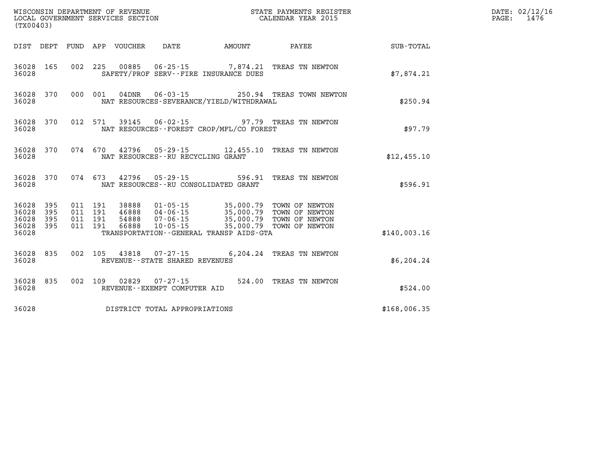| (TX00403)                                         |            |  |                                   |                                          | WISCONSIN DEPARTMENT OF REVENUE<br>LOCAL GOVERNMENT SERVICES SECTION<br>LOCAL GOVERNMENT SERVICES SECTION<br>CALENDAR YEAR 2015                                                                                                                                                          |              | DATE: 02/12/16<br>PAGE: 1476 |
|---------------------------------------------------|------------|--|-----------------------------------|------------------------------------------|------------------------------------------------------------------------------------------------------------------------------------------------------------------------------------------------------------------------------------------------------------------------------------------|--------------|------------------------------|
|                                                   |            |  |                                   |                                          |                                                                                                                                                                                                                                                                                          |              |                              |
| 36028 165<br>36028                                |            |  |                                   | SAFETY/PROF SERV--FIRE INSURANCE DUES    | 002 225 00885 06-25-15 7,874.21 TREAS TN NEWTON                                                                                                                                                                                                                                          | \$7,874.21   |                              |
| 36028 370<br>36028                                |            |  |                                   | NAT RESOURCES-SEVERANCE/YIELD/WITHDRAWAL | 000 001 04DNR  06-03-15  250.94 TREAS TOWN NEWTON                                                                                                                                                                                                                                        | \$250.94     |                              |
| 36028 370<br>36028                                |            |  |                                   | NAT RESOURCES--FOREST CROP/MFL/CO FOREST | 012 571 39145 06-02-15 97.79 TREAS TN NEWTON                                                                                                                                                                                                                                             | \$97.79      |                              |
| 36028 370<br>36028                                |            |  | NAT RESOURCES--RU RECYCLING GRANT |                                          | 074 670 42796 05-29-15 12,455.10 TREAS TN NEWTON                                                                                                                                                                                                                                         | \$12,455.10  |                              |
| 36028 370<br>36028                                |            |  |                                   | NAT RESOURCES -- RU CONSOLIDATED GRANT   | 074 673 42796 05-29-15 596.91 TREAS TN NEWTON                                                                                                                                                                                                                                            | \$596.91     |                              |
| 36028 395<br>36028<br>36028<br>36028 395<br>36028 | 395<br>395 |  |                                   | TRANSPORTATION--GENERAL TRANSP AIDS-GTA  | $\begin{tabular}{cccccc} 011 & 191 & 38888 & 01-05-15 & 35,000.79 & TOWN OF NEWTON \\ 011 & 191 & 46888 & 04-06-15 & 35,000.79 & TOWN OF NEWTON \\ 011 & 191 & 54888 & 07-06-15 & 35,000.79 & TOWN OF NEWTON \\ 011 & 191 & 66888 & 10-05-15 & 35,000.79 & TOWN OF NEWTON \end{tabular}$ | \$140,003.16 |                              |
| 36028<br>36028                                    | 835        |  | REVENUE--STATE SHARED REVENUES    |                                          | 002 105 43818 07-27-15 6,204.24 TREAS TN NEWTON                                                                                                                                                                                                                                          | \$6,204.24   |                              |
| 36028 835<br>36028                                |            |  |                                   |                                          | 002   109   02829   07-27-15   524.00 TREAS TN NEWTON   REVENUE--EXEMPT COMPUTER AID                                                                                                                                                                                                     | \$524.00     |                              |
| 36028                                             |            |  | DISTRICT TOTAL APPROPRIATIONS     |                                          |                                                                                                                                                                                                                                                                                          | \$168,006.35 |                              |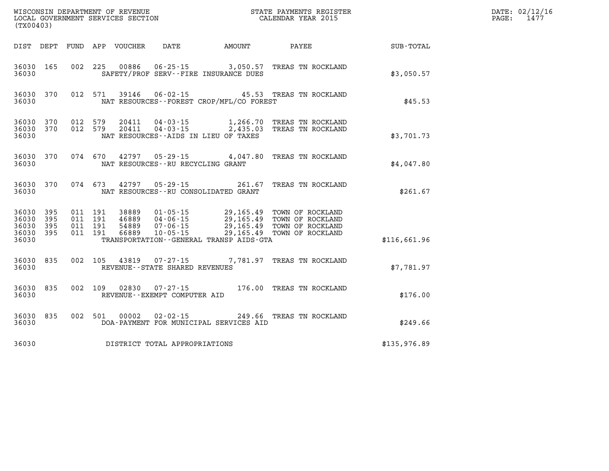| (TX00403)                                         |            |                                          |               |                                      |                                             | WISCONSIN DEPARTMENT OF REVENUE<br>LOCAL GOVERNMENT SERVICES SECTION<br>(TYO0403)                                                                                                            |              | DATE: 02/12/16<br>$\mathtt{PAGE}$ :<br>1477 |
|---------------------------------------------------|------------|------------------------------------------|---------------|--------------------------------------|---------------------------------------------|----------------------------------------------------------------------------------------------------------------------------------------------------------------------------------------------|--------------|---------------------------------------------|
| DIST DEPT                                         |            |                                          |               |                                      |                                             | FUND APP VOUCHER DATE AMOUNT PAYEE                                                                                                                                                           | SUB-TOTAL    |                                             |
| 36030 165<br>36030                                |            |                                          |               |                                      | SAFETY/PROF SERV--FIRE INSURANCE DUES       | 002 225 00886 06-25-15 3,050.57 TREAS TN ROCKLAND                                                                                                                                            | \$3,050.57   |                                             |
| 36030 370<br>36030                                |            | 012 571                                  |               |                                      | NAT RESOURCES - - FOREST CROP/MFL/CO FOREST | 39146  06-02-15  45.53  TREAS TN ROCKLAND                                                                                                                                                    | \$45.53      |                                             |
| 36030 370<br>36030<br>36030                       | 370        | 012 579<br>012 579                       |               |                                      | NAT RESOURCES--AIDS IN LIEU OF TAXES        | $\begin{tabular}{llllll} 20411 & 04-03-15 & 1,266.70 & \text{TREAS TN ROCKLAND} \\ 20411 & 04-03-15 & 2,435.03 & \text{TREAS TN ROCKLAND} \end{tabular}$                                     | \$3,701.73   |                                             |
| 36030<br>36030                                    | 370        | 074 670                                  |               | NAT RESOURCES - - RU RECYCLING GRANT |                                             | 42797 05-29-15 4,047.80 TREAS TN ROCKLAND                                                                                                                                                    | \$4,047.80   |                                             |
| 36030<br>36030                                    | 370        | 074 673                                  | 42797         |                                      | NAT RESOURCES -- RU CONSOLIDATED GRANT      | 05-29-15 261.67 TREAS TN ROCKLAND                                                                                                                                                            | \$261.67     |                                             |
| 36030<br>36030<br>36030 395<br>36030 395<br>36030 | 395<br>395 | 011 191<br>011 191<br>011 191<br>011 191 |               |                                      | TRANSPORTATION--GENERAL TRANSP AIDS-GTA     | 38889  01-05-15  29,165.49  TOWN OF ROCKLAND<br>46889  04-06-15  29,165.49  TOWN OF ROCKLAND<br>54889  07-06-15  29,165.49  TOWN OF ROCKLAND<br>56889  10-05-15  29,165.49  TOWN OF ROCKLAND | \$116,661.96 |                                             |
| 36030 835<br>36030                                |            |                                          |               | REVENUE--STATE SHARED REVENUES       |                                             | 002 105 43819 07-27-15 7,781.97 TREAS TN ROCKLAND                                                                                                                                            | \$7,781.97   |                                             |
| 36030 835<br>36030                                |            |                                          | 002 109 02830 | REVENUE--EXEMPT COMPUTER AID         |                                             | 07-27-15 176.00 TREAS TN ROCKLAND                                                                                                                                                            | \$176.00     |                                             |
| 36030 835<br>36030                                |            | 002 501                                  | 00002         | $02 - 02 - 15$                       | DOA-PAYMENT FOR MUNICIPAL SERVICES AID      | 249.66 TREAS TN ROCKLAND                                                                                                                                                                     | \$249.66     |                                             |
|                                                   |            |                                          |               | 36030 DISTRICT TOTAL APPROPRIATIONS  |                                             |                                                                                                                                                                                              | \$135,976.89 |                                             |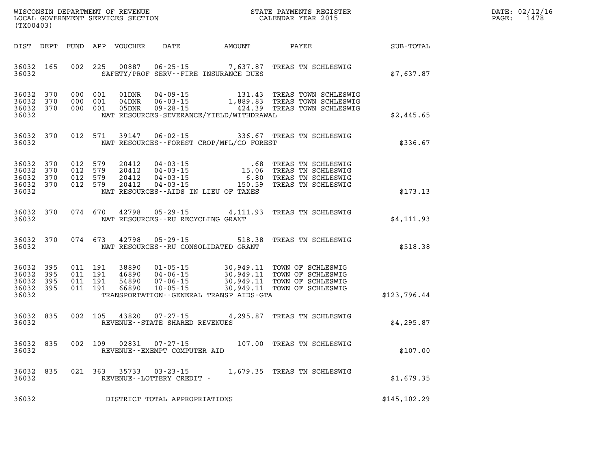| WISCONSIN DEPARTMENT OF REVENUE      | PAYMENTS REGISTER<br>3TATE | DATE: | 02/12/16 |
|--------------------------------------|----------------------------|-------|----------|
| GOVERNMENT SERVICES SECTION<br>LOCAL | CALENDAR YEAR 2015         | PAGE  | -478     |

| (TX00403)                                 |                          |                          |                          |                                  |                                                                      |                                                                                             |                                                                                      |               |
|-------------------------------------------|--------------------------|--------------------------|--------------------------|----------------------------------|----------------------------------------------------------------------|---------------------------------------------------------------------------------------------|--------------------------------------------------------------------------------------|---------------|
| DIST                                      | DEPT                     | <b>FUND</b>              | APP                      | <b>VOUCHER</b>                   | <b>DATE</b>                                                          | <b>AMOUNT</b>                                                                               | PAYEE                                                                                | SUB-TOTAL     |
| 36032<br>36032                            | 165                      | 002                      | 225                      | 00887                            | $06 - 25 - 15$                                                       | 7,637.87<br>SAFETY/PROF SERV--FIRE INSURANCE DUES                                           | TREAS TN SCHLESWIG                                                                   | \$7,637.87    |
| 36032<br>36032<br>36032<br>36032          | 370<br>370<br>370        | 000<br>000<br>000        | 001<br>001<br>001        | 01DNR<br>04DNR<br>05DNR          | $04 - 09 - 15$<br>$06 - 03 - 15$<br>$09 - 28 - 15$                   | 131.43<br>1,889.83<br>424.39<br>NAT RESOURCES-SEVERANCE/YIELD/WITHDRAWAL                    | TREAS TOWN SCHLESWIG<br>TREAS TOWN SCHLESWIG<br>TREAS TOWN SCHLESWIG                 | \$2,445.65    |
| 36032<br>36032                            | 370                      | 012                      | 571                      | 39147                            | $06 - 02 - 15$                                                       | 336.67<br>NAT RESOURCES--FOREST CROP/MFL/CO FOREST                                          | TREAS TN SCHLESWIG                                                                   | \$336.67      |
| 36032<br>36032<br>36032<br>36032<br>36032 | 370<br>370<br>370<br>370 | 012<br>012<br>012<br>012 | 579<br>579<br>579<br>579 | 20412<br>20412<br>20412<br>20412 | $04 - 03 - 15$<br>$04 - 03 - 15$<br>$04 - 03 - 15$<br>$04 - 03 - 15$ | .68<br>15.06<br>6.80<br>150.59<br>NAT RESOURCES - AIDS IN LIEU OF TAXES                     | TREAS TN SCHLESWIG<br>TREAS TN SCHLESWIG<br>TREAS TN SCHLESWIG<br>TREAS TN SCHLESWIG | \$173.13      |
| 36032<br>36032                            | 370                      | 074                      | 670                      | 42798                            | $05 - 29 - 15$<br>NAT RESOURCES - - RU RECYCLING GRANT               | 4,111.93                                                                                    | TREAS TN SCHLESWIG                                                                   | \$4,111.93    |
| 36032<br>36032                            | 370                      | 074                      | 673                      | 42798                            | $05 - 29 - 15$                                                       | 518.38<br>NAT RESOURCES - - RU CONSOLIDATED GRANT                                           | TREAS TN SCHLESWIG                                                                   | \$518.38      |
| 36032<br>36032<br>36032<br>36032<br>36032 | 395<br>395<br>395<br>395 | 011<br>011<br>011<br>011 | 191<br>191<br>191<br>191 | 38890<br>46890<br>54890<br>66890 | $01 - 05 - 15$<br>$04 - 06 - 15$<br>$07 - 06 - 15$<br>$10 - 05 - 15$ | 30,949.11<br>30,949.11<br>30,949.11<br>30,949.11<br>TRANSPORTATION--GENERAL TRANSP AIDS-GTA | TOWN OF SCHLESWIG<br>TOWN OF SCHLESWIG<br>TOWN OF SCHLESWIG<br>TOWN OF SCHLESWIG     | \$123,796.44  |
| 36032<br>36032                            | 835                      | 002                      | 105                      | 43820                            | $07 - 27 - 15$<br>REVENUE - - STATE SHARED REVENUES                  | 4,295.87                                                                                    | TREAS TN SCHLESWIG                                                                   | \$4,295.87    |
| 36032<br>36032                            | 835                      | 002                      | 109                      | 02831                            | $07 - 27 - 15$<br>REVENUE--EXEMPT COMPUTER AID                       | 107.00                                                                                      | TREAS TN SCHLESWIG                                                                   | \$107.00      |
| 36032<br>36032                            | 835                      | 021                      | 363                      | 35733                            | $03 - 23 - 15$<br>REVENUE--LOTTERY CREDIT -                          | 1,679.35                                                                                    | TREAS TN SCHLESWIG                                                                   | \$1,679.35    |
| 36032                                     |                          |                          |                          |                                  | DISTRICT TOTAL APPROPRIATIONS                                        |                                                                                             |                                                                                      | \$145, 102.29 |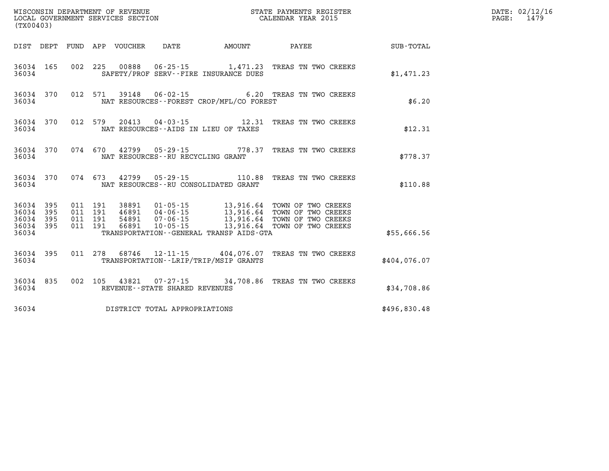| (TX00403)                                         |            |                    |                    |                                 |                                   |                                          |                                                                                                  |              | DATE: 02/12/16<br>PAGE:<br>1479 |
|---------------------------------------------------|------------|--------------------|--------------------|---------------------------------|-----------------------------------|------------------------------------------|--------------------------------------------------------------------------------------------------|--------------|---------------------------------|
|                                                   |            |                    |                    | DIST DEPT FUND APP VOUCHER DATE |                                   | AMOUNT                                   | PAYEE SUB-TOTAL                                                                                  |              |                                 |
| 36034                                             | 36034 165  |                    |                    |                                 |                                   | SAFETY/PROF SERV--FIRE INSURANCE DUES    | 002 225 00888 06-25-15 1,471.23 TREAS TN TWO CREEKS                                              | \$1,471.23   |                                 |
| 36034                                             |            |                    |                    |                                 |                                   | NAT RESOURCES--FOREST CROP/MFL/CO FOREST | 36034 370 012 571 39148 06-02-15 6.20 TREAS TN TWO CREEKS                                        | \$6.20       |                                 |
| 36034                                             | 36034 370  |                    |                    |                                 |                                   | NAT RESOURCES--AIDS IN LIEU OF TAXES     | 012 579 20413 04-03-15 12.31 TREAS TN TWO CREEKS                                                 | \$12.31      |                                 |
| 36034                                             | 36034 370  |                    |                    |                                 | NAT RESOURCES--RU RECYCLING GRANT |                                          | 074  670  42799  05-29-15  778.37  TREAS TN TWO CREEKS                                           | \$778.37     |                                 |
| 36034                                             |            |                    |                    |                                 |                                   | NAT RESOURCES -- RU CONSOLIDATED GRANT   | 36034 370 074 673 42799 05-29-15 110.88 TREAS TN TWO CREEKS                                      | \$110.88     |                                 |
| 36034 395<br>36034<br>36034<br>36034 395<br>36034 | 395<br>395 | 011 191<br>011 191 | 011 191<br>011 191 |                                 |                                   | TRANSPORTATION--GENERAL TRANSP AIDS-GTA  | 38891  01-05-15  13,916.64  TOWN OF TWO CREEKS<br>46891  04-06-15  13,916.64  TOWN OF TWO CREEKS | \$55,666.56  |                                 |
| 36034                                             | 36034 395  |                    |                    |                                 |                                   | TRANSPORTATION--LRIP/TRIP/MSIP GRANTS    | 011 278 68746 12-11-15 404,076.07 TREAS TN TWO CREEKS                                            | \$404,076.07 |                                 |
|                                                   | 36034 835  | 36034              |                    |                                 | REVENUE--STATE SHARED REVENUES    |                                          | 002 105 43821 07-27-15 34,708.86 TREAS TN TWO CREEKS                                             | \$34,708.86  |                                 |
| 36034                                             |            |                    |                    |                                 | DISTRICT TOTAL APPROPRIATIONS     |                                          |                                                                                                  | \$496,830.48 |                                 |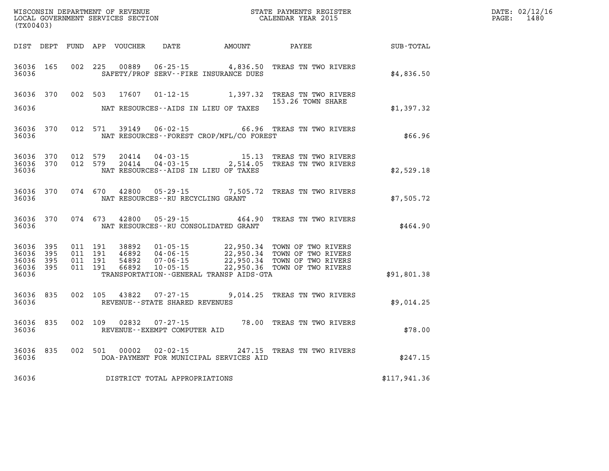| WISCONSIN DEPARTMENT OF REVENUE   | STATE PAYMENTS REGISTER |       | DATE: 02/12/16 |
|-----------------------------------|-------------------------|-------|----------------|
| LOCAL GOVERNMENT SERVICES SECTION | CALENDAR YEAR 2015      | PAGE: | 1480           |

| (TX00403)                                         |            |                                          | LOCAL GOVERNMENT SERVICES SECTION |                                                          |                                              | CALENDAR YEAR 2015                                                                                                                                                                                   |                  | PAGE: | 1480 |
|---------------------------------------------------|------------|------------------------------------------|-----------------------------------|----------------------------------------------------------|----------------------------------------------|------------------------------------------------------------------------------------------------------------------------------------------------------------------------------------------------------|------------------|-------|------|
|                                                   |            |                                          |                                   |                                                          | DIST DEPT FUND APP VOUCHER DATE AMOUNT PAYEE |                                                                                                                                                                                                      | <b>SUB-TOTAL</b> |       |      |
| 36036 165<br>36036                                |            |                                          |                                   |                                                          | SAFETY/PROF SERV--FIRE INSURANCE DUES        | 002 225 00889 06-25-15 4,836.50 TREAS TN TWO RIVERS                                                                                                                                                  | \$4,836.50       |       |      |
| 36036 370                                         |            |                                          |                                   |                                                          |                                              | 002 503 17607 01-12-15 1,397.32 TREAS TN TWO RIVERS<br>153.26 TOWN SHARE                                                                                                                             |                  |       |      |
| 36036                                             |            |                                          |                                   |                                                          | NAT RESOURCES--AIDS IN LIEU OF TAXES         |                                                                                                                                                                                                      | \$1,397.32       |       |      |
| 36036                                             | 36036 370  |                                          |                                   |                                                          | NAT RESOURCES - - FOREST CROP/MFL/CO FOREST  | 012 571 39149 06-02-15 66.96 TREAS TN TWO RIVERS                                                                                                                                                     | \$66.96          |       |      |
| 36036 370<br>36036 370<br>36036                   |            | 012 579                                  | 20414<br>012 579 20414            |                                                          | NAT RESOURCES--AIDS IN LIEU OF TAXES         | 04-03-15 15.13 TREAS TN TWO RIVERS<br>04-03-15 2,514.05 TREAS TN TWO RIVERS                                                                                                                          | \$2,529.18       |       |      |
| 36036                                             | 36036 370  |                                          |                                   | NAT RESOURCES - - RU RECYCLING GRANT                     |                                              | 074 670 42800 05-29-15 7,505.72 TREAS TN TWO RIVERS                                                                                                                                                  | \$7,505.72       |       |      |
| 36036                                             | 36036 370  |                                          |                                   |                                                          | NAT RESOURCES--RU CONSOLIDATED GRANT         | 074 673 42800 05-29-15 464.90 TREAS TN TWO RIVERS                                                                                                                                                    | \$464.90         |       |      |
| 36036<br>36036<br>36036 395<br>36036 395<br>36036 | 395<br>395 | 011 191<br>011 191<br>011 191<br>011 191 |                                   |                                                          | TRANSPORTATION--GENERAL TRANSP AIDS-GTA      | 38892  01-05-15  22,950.34  TOWN OF TWO RIVERS<br>46892  04-06-15  22,950.34  TOWN OF TWO RIVERS<br>54892  07-06-15  22,950.34  TOWN OF TWO RIVERS<br>66892  10-05-15  22,950.36  TOWN OF TWO RIVERS | \$91,801.38      |       |      |
| 36036                                             | 36036 835  |                                          |                                   | 002 105 43822 07-27-15<br>REVENUE--STATE SHARED REVENUES |                                              | 9,014.25 TREAS TN TWO RIVERS                                                                                                                                                                         | \$9,014.25       |       |      |
| 36036                                             | 36036 835  |                                          |                                   | REVENUE--EXEMPT COMPUTER AID                             |                                              | 002 109 02832 07-27-15 78.00 TREAS TN TWO RIVERS                                                                                                                                                     | \$78.00          |       |      |
| 36036 835<br>36036                                |            | 002 501                                  | 00002                             | $02 - 02 - 15$                                           | DOA-PAYMENT FOR MUNICIPAL SERVICES AID       | 247.15 TREAS TN TWO RIVERS                                                                                                                                                                           | \$247.15         |       |      |
| 36036                                             |            |                                          |                                   | DISTRICT TOTAL APPROPRIATIONS                            |                                              |                                                                                                                                                                                                      | \$117,941.36     |       |      |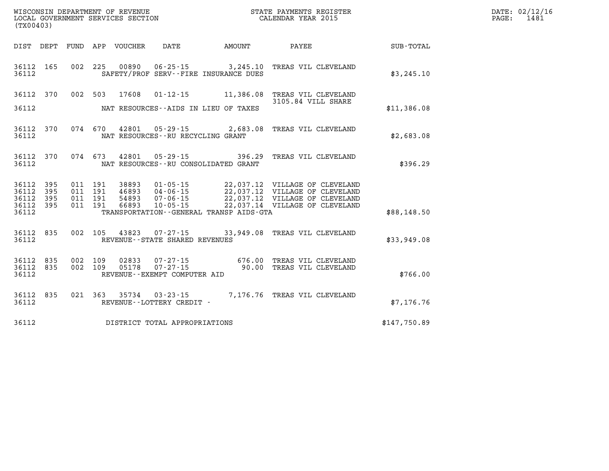| (TX00403)                       |           |  |                                   |                                              | WISCONSIN DEPARTMENT OF REVENUE<br>LOCAL GOVERNMENT SERVICES SECTION<br>(TYO0403)                                                                                                                                                                                                                                                             |              | DATE: 02/12/16<br>PAGE: 1481 |
|---------------------------------|-----------|--|-----------------------------------|----------------------------------------------|-----------------------------------------------------------------------------------------------------------------------------------------------------------------------------------------------------------------------------------------------------------------------------------------------------------------------------------------------|--------------|------------------------------|
|                                 |           |  |                                   |                                              | DIST DEPT FUND APP VOUCHER DATE AMOUNT PAYEE PATE SUB-TOTAL                                                                                                                                                                                                                                                                                   |              |                              |
| 36112 165<br>36112              |           |  |                                   | SAFETY/PROF SERV--FIRE INSURANCE DUES        | 002 225 00890 06-25-15 3,245.10 TREAS VIL CLEVELAND                                                                                                                                                                                                                                                                                           | \$3,245.10   |                              |
|                                 |           |  |                                   |                                              | 36112 370 002 503 17608 01-12-15 11,386.08 TREAS VIL CLEVELAND<br>3105.84 VILL SHARE                                                                                                                                                                                                                                                          |              |                              |
| 36112                           |           |  |                                   | NAT RESOURCES--AIDS IN LIEU OF TAXES         |                                                                                                                                                                                                                                                                                                                                               | \$11,386.08  |                              |
| 36112 370<br>36112              |           |  | NAT RESOURCES--RU RECYCLING GRANT |                                              | 074 670 42801 05-29-15 2,683.08 TREAS VIL CLEVELAND                                                                                                                                                                                                                                                                                           | \$2,683.08   |                              |
| 36112                           |           |  |                                   | NAT RESOURCES -- RU CONSOLIDATED GRANT       | 36112 370 074 673 42801 05-29-15 396.29 TREAS VIL CLEVELAND                                                                                                                                                                                                                                                                                   | \$396.29     |                              |
| 36112 395<br>36112              | 395       |  |                                   |                                              | $\begin{array}{cccc} 011 & 191 & 38893 & 01\cdot 05\cdot 15 & 22\, , 037\, .12 & \text{VILLAGE OF CLEVELAND} \\ 011 & 191 & 46893 & 04\cdot 06\cdot 15 & 22\, , 037\, .12 & \text{VILLAGE OF CLEVELAND} \\ 011 & 191 & 54893 & 07\cdot 06\cdot 15 & 22\, , 037\, .12 & \text{VILLAGE OF CLEVELAND} \\ 011 & 191 & 66893 & 10\cdot 05\cdot 15$ |              |                              |
| 36112 395<br>36112 395<br>36112 |           |  |                                   | TRANSPORTATION - - GENERAL TRANSP AIDS - GTA |                                                                                                                                                                                                                                                                                                                                               | \$88,148.50  |                              |
| 36112 835<br>36112              |           |  | REVENUE--STATE SHARED REVENUES    |                                              | 002 105 43823 07-27-15 33,949.08 TREAS VIL CLEVELAND                                                                                                                                                                                                                                                                                          | \$33,949.08  |                              |
| 36112 835<br>36112 835<br>36112 |           |  | REVENUE--EXEMPT COMPUTER AID      |                                              | 002 109 02833 07-27-15 676.00 TREAS VIL CLEVELAND<br>002 109 05178 07-27-15 90.00 TREAS VIL CLEVELAND<br>REVENIJE--EXEMPT COMPITER ATD                                                                                                                                                                                                        | \$766.00     |                              |
| 36112                           | 36112 835 |  |                                   |                                              |                                                                                                                                                                                                                                                                                                                                               | \$7,176.76   |                              |
| 36112                           |           |  | DISTRICT TOTAL APPROPRIATIONS     |                                              |                                                                                                                                                                                                                                                                                                                                               | \$147,750.89 |                              |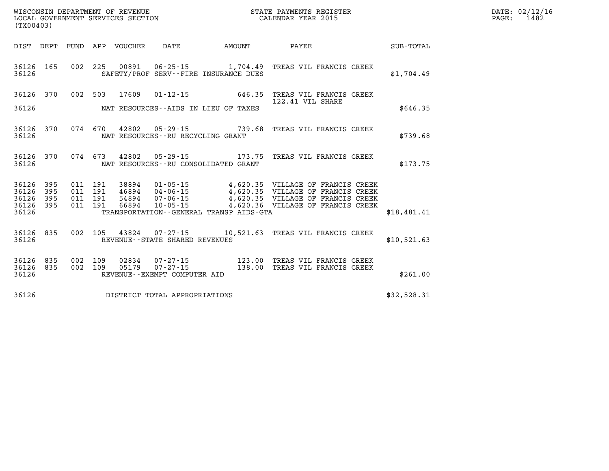| (TX00403)                       |           |  |                                       |                                            | WISCONSIN DEPARTMENT OF REVENUE<br>LOCAL GOVERNMENT SERVICES SECTION<br>LOCAL GOVERNMENT SERVICES SECTION<br>CALENDAR YEAR 2015                                                                                                        |  |             | DATE: 02/12/16<br>PAGE: 1482 |  |
|---------------------------------|-----------|--|---------------------------------------|--------------------------------------------|----------------------------------------------------------------------------------------------------------------------------------------------------------------------------------------------------------------------------------------|--|-------------|------------------------------|--|
|                                 |           |  |                                       | DIST DEPT FUND APP VOUCHER DATE AMOUNT     | PAYEE SUB-TOTAL                                                                                                                                                                                                                        |  |             |                              |  |
| 36126                           |           |  |                                       | SAFETY/PROF SERV--FIRE INSURANCE DUES      | 36126 165 002 225 00891 06-25-15 1,704.49 TREAS VIL FRANCIS CREEK                                                                                                                                                                      |  | \$1,704.49  |                              |  |
|                                 |           |  |                                       |                                            | 36126 370 002 503 17609 01-12-15 646.35 TREAS VIL FRANCIS CREEK<br>122.41 VIL SHARE                                                                                                                                                    |  |             |                              |  |
|                                 |           |  |                                       | 36126 MAT RESOURCES--AIDS IN LIEU OF TAXES |                                                                                                                                                                                                                                        |  | \$646.35    |                              |  |
| 36126                           |           |  | NAT RESOURCES--RU RECYCLING GRANT     |                                            | 36126 370 074 670 42802 05-29-15 739.68 TREAS VIL FRANCIS CREEK                                                                                                                                                                        |  | \$739.68    |                              |  |
|                                 |           |  |                                       |                                            | 36126 370 074 673 42802 05-29-15 173.75 TREAS VIL FRANCIS CREEK                                                                                                                                                                        |  | \$173.75    |                              |  |
| 36126 395<br>36126              | 395       |  |                                       |                                            | 011 191 38894 01-05-15 4,620.35 VILLAGE OF FRANCIS CREEK<br>011 191 46894 04-06-15 4,620.35 VILLAGE OF FRANCIS CREEK<br>011 191 66894 10-05-15 4,620.35 VILLAGE OF FRANCIS CREEK<br>011 191 66894 10-05-15 4,620.36 VILLAGE OF FRANCIS |  |             |                              |  |
| 36126 395<br>36126 395<br>36126 |           |  |                                       | TRANSPORTATION--GENERAL TRANSP AIDS-GTA    |                                                                                                                                                                                                                                        |  | \$18,481.41 |                              |  |
|                                 |           |  |                                       |                                            |                                                                                                                                                                                                                                        |  |             |                              |  |
|                                 |           |  | 36126 REVENUE - STATE SHARED REVENUES |                                            | 36126 835 002 105 43824 07-27-15 10,521.63 TREAS VIL FRANCIS CREEK                                                                                                                                                                     |  | \$10,521.63 |                              |  |
| 36126 835                       | 36126 835 |  |                                       |                                            | 002 109 02834 07-27-15 123.00 TREAS VIL FRANCIS CREEK<br>002 109 05179 07-27-15 138.00 TREAS VIL FRANCIS CREEK                                                                                                                         |  |             |                              |  |
| 36126                           |           |  | REVENUE--EXEMPT COMPUTER AID          |                                            |                                                                                                                                                                                                                                        |  | \$261.00    |                              |  |
| 36126                           |           |  | DISTRICT TOTAL APPROPRIATIONS         |                                            |                                                                                                                                                                                                                                        |  | \$32,528.31 |                              |  |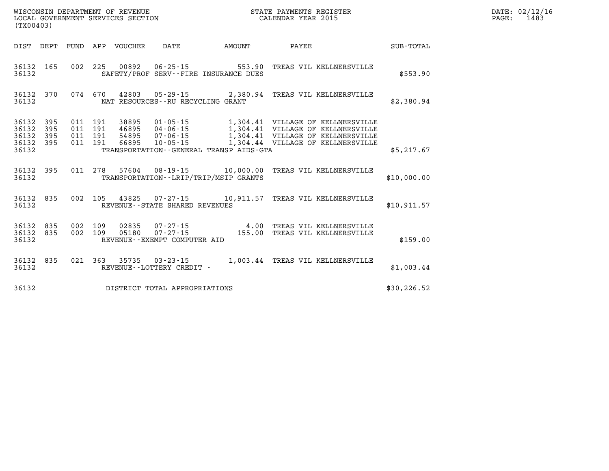| (TX00403)                                             |           |  |                                   |                                         |                                                                                                                |              | DATE: 02/12/16<br>PAGE: 1483 |
|-------------------------------------------------------|-----------|--|-----------------------------------|-----------------------------------------|----------------------------------------------------------------------------------------------------------------|--------------|------------------------------|
|                                                       |           |  |                                   | DIST DEPT FUND APP VOUCHER DATE AMOUNT  | <b>PAYEE</b> PAYEE                                                                                             | SUB-TOTAL    |                              |
| 36132                                                 | 36132 165 |  |                                   | SAFETY/PROF SERV--FIRE INSURANCE DUES   | 002 225 00892 06-25-15 553.90 TREAS VIL KELLNERSVILLE                                                          | \$553.90     |                              |
| 36132                                                 |           |  | NAT RESOURCES--RU RECYCLING GRANT |                                         | 36132 370 074 670 42803 05-29-15 2,380.94 TREAS VIL KELLNERSVILLE                                              | \$2,380.94   |                              |
| 36132 395<br>36132<br>36132 395<br>36132 395<br>36132 | 395       |  |                                   | TRANSPORTATION--GENERAL TRANSP AIDS-GTA |                                                                                                                | \$5,217.67   |                              |
| 36132                                                 |           |  |                                   | TRANSPORTATION--LRIP/TRIP/MSIP GRANTS   | 36132 395 011 278 57604 08-19-15 10,000.00 TREAS VIL KELLNERSVILLE                                             | \$10,000.00  |                              |
| 36132                                                 | 36132 835 |  | REVENUE--STATE SHARED REVENUES    |                                         | 002 105 43825 07-27-15 10,911.57 TREAS VIL KELLNERSVILLE                                                       | \$10.911.57  |                              |
| 36132 835<br>36132 835<br>36132                       |           |  | REVENUE--EXEMPT COMPUTER AID      |                                         | 002 109 02835 07-27-15  4.00 TREAS VIL KELLNERSVILLE<br>002 109 05180 07-27-15  155.00 TREAS VIL KELLNERSVILLE | \$159.00     |                              |
| 36132                                                 | 36132 835 |  | REVENUE--LOTTERY CREDIT -         |                                         | 021  363  35735  03-23-15  1,003.44  TREAS VIL KELLNERSVILLE                                                   | \$1,003.44   |                              |
| 36132                                                 |           |  | DISTRICT TOTAL APPROPRIATIONS     |                                         |                                                                                                                | \$30, 226.52 |                              |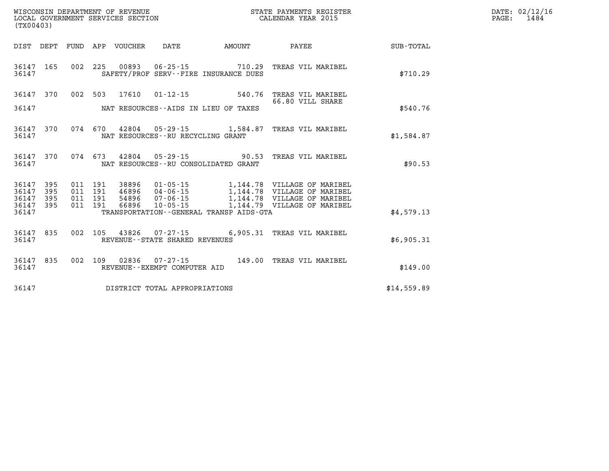| (TX00403)                                                                                                                                                                                                                                       |                                                            |                  | DATE: 02/12/16<br>PAGE: 1484 |  |
|-------------------------------------------------------------------------------------------------------------------------------------------------------------------------------------------------------------------------------------------------|------------------------------------------------------------|------------------|------------------------------|--|
| DIST DEPT FUND APP VOUCHER DATE AMOUNT PAYEE                                                                                                                                                                                                    |                                                            |                  | SUB-TOTAL                    |  |
| 002 225 00893 06-25-15 710.29 TREAS VIL MARIBEL<br>36147 165<br>SAFETY/PROF SERV--FIRE INSURANCE DUES<br>36147                                                                                                                                  |                                                            |                  | \$710.29                     |  |
| 36147 370 002 503 17610 01-12-15 540.76 TREAS VIL MARIBEL<br>36147 MAT RESOURCES--AIDS IN LIEU OF TAXES                                                                                                                                         |                                                            | 66.80 VILL SHARE | \$540.76                     |  |
| 074 670 42804 05-29-15 1,584.87 TREAS VIL MARIBEL<br>36147 370<br>36147<br>NAT RESOURCES--RU RECYCLING GRANT                                                                                                                                    |                                                            |                  | \$1,584.87                   |  |
| 36147 370 074 673 42804 05-29-15 90.53 TREAS VIL MARIBEL<br>36147<br>NAT RESOURCES--RU CONSOLIDATED GRANT                                                                                                                                       |                                                            |                  | \$90.53                      |  |
| 38896  01-05-15   1,144.78   VILLAGE OF MARIBEL<br>46896  04-06-15   1,144.78   VILLAGE OF MARIBEL<br>36147 395<br>011 191<br>011<br>36147<br>395<br>191<br>36147<br>395<br>011 191<br>54896 07-06-15<br>36147 395<br>011 191<br>66896 10-05-15 | 1,144.78 VILLAGE OF MARIBEL<br>1,144.79 VILLAGE OF MARIBEL |                  |                              |  |
| 36147<br>TRANSPORTATION - - GENERAL TRANSP AIDS - GTA                                                                                                                                                                                           |                                                            |                  | \$4,579.13                   |  |
| 002 105 43826 07-27-15 6,905.31 TREAS VIL MARIBEL<br>36147 835<br>36147<br>REVENUE--STATE SHARED REVENUES                                                                                                                                       |                                                            |                  | \$6,905.31                   |  |
| 002 109 02836 07-27-15 149.00 TREAS VIL MARIBEL<br>36147 835<br>REVENUE--EXEMPT COMPUTER AID<br>36147                                                                                                                                           |                                                            |                  | \$149.00                     |  |
| DISTRICT TOTAL APPROPRIATIONS<br>36147                                                                                                                                                                                                          |                                                            |                  | \$14,559.89                  |  |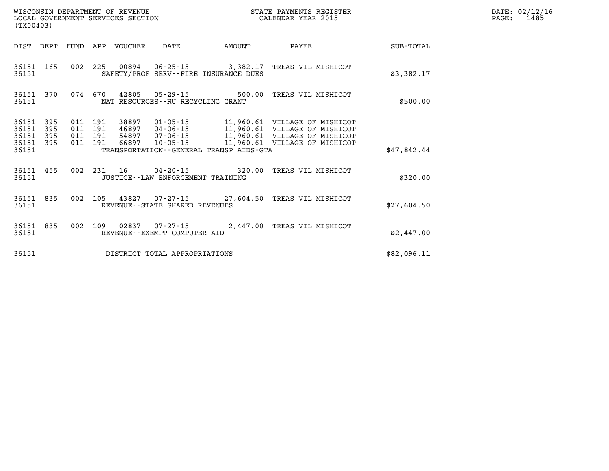|                                           | LOCAL GOVERNMENT SERVICES SECTION<br>(TX00403) |  |                                          |                                 | CALENDAR YEAR 2015                  |                                         | PAGE:                                                                                                                                                                                                    | 1485        |  |  |
|-------------------------------------------|------------------------------------------------|--|------------------------------------------|---------------------------------|-------------------------------------|-----------------------------------------|----------------------------------------------------------------------------------------------------------------------------------------------------------------------------------------------------------|-------------|--|--|
|                                           |                                                |  |                                          | DIST DEPT FUND APP VOUCHER DATE |                                     | AMOUNT                                  | PAYEE                                                                                                                                                                                                    | SUB-TOTAL   |  |  |
| 36151                                     |                                                |  |                                          |                                 |                                     | SAFETY/PROF SERV--FIRE INSURANCE DUES   | 36151 165 002 225 00894 06-25-15 3,382.17 TREAS VIL MISHICOT                                                                                                                                             | \$3,382.17  |  |  |
| 36151                                     |                                                |  |                                          |                                 | NAT RESOURCES--RU RECYCLING GRANT   |                                         | 36151 370 074 670 42805 05-29-15 500.00 TREAS VIL MISHICOT                                                                                                                                               | \$500.00    |  |  |
| 36151<br>36151<br>36151<br>36151<br>36151 | 395<br>395<br>395<br>395                       |  | 011 191<br>011 191<br>011 191<br>011 191 |                                 |                                     | TRANSPORTATION--GENERAL TRANSP AIDS-GTA | 38897  01-05-15  11,960.61  VILLAGE OF MISHICOT<br>46897  04-06-15  11,960.61  VILLAGE OF MISHICOT<br>54897  07-06-15  11,960.61  VILLAGE OF MISHICOT<br>66897  10-05-15  11,960.61  VILLAGE OF MISHICOT | \$47,842.44 |  |  |
| 36151                                     |                                                |  |                                          |                                 | JUSTICE -- LAW ENFORCEMENT TRAINING |                                         | 36151 455 002 231 16 04-20-15 320.00 TREAS VIL MISHICOT                                                                                                                                                  | \$320.00    |  |  |
| 36151                                     | 36151 835                                      |  |                                          |                                 | REVENUE - - STATE SHARED REVENUES   |                                         | 002 105 43827 07-27-15 27,604.50 TREAS VIL MISHICOT                                                                                                                                                      | \$27,604.50 |  |  |
| 36151                                     | 36151 835                                      |  |                                          |                                 | REVENUE--EXEMPT COMPUTER AID        |                                         | 002 109 02837 07-27-15 2,447.00 TREAS VIL MISHICOT                                                                                                                                                       | \$2,447.00  |  |  |
| 36151                                     |                                                |  |                                          |                                 | DISTRICT TOTAL APPROPRIATIONS       |                                         |                                                                                                                                                                                                          | \$82,096.11 |  |  |

**WISCONSIN DEPARTMENT OF REVENUE STATE PAYMENTS REGISTER DATE: 02/12/16**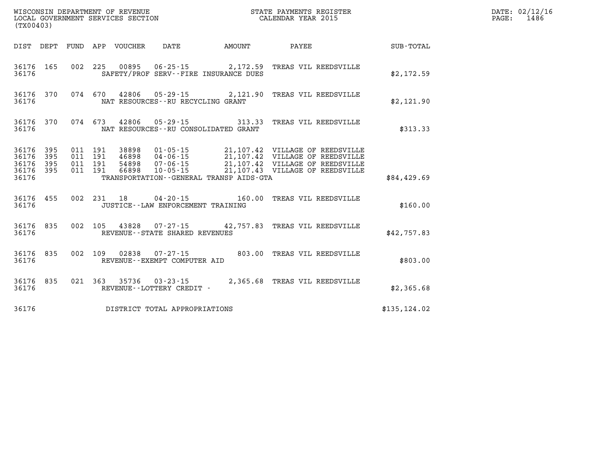| (TX00403)                                |                  |  |                                       |                                              | WISCONSIN DEPARTMENT OF REVENUE<br>LOCAL GOVERNMENT SERVICES SECTION<br>CALENDAR YEAR 2015 |               | DATE: 02/12/16<br>PAGE: 1486 |
|------------------------------------------|------------------|--|---------------------------------------|----------------------------------------------|--------------------------------------------------------------------------------------------|---------------|------------------------------|
|                                          |                  |  |                                       | DIST DEPT FUND APP VOUCHER DATE AMOUNT PAYEE |                                                                                            | SUB-TOTAL     |                              |
| 36176                                    |                  |  | SAFETY/PROF SERV--FIRE INSURANCE DUES |                                              | 36176 165 002 225 00895 06-25-15 2,172.59 TREAS VIL REEDSVILLE                             | \$2,172.59    |                              |
| 36176                                    |                  |  | NAT RESOURCES -- RU RECYCLING GRANT   |                                              | 36176 370 074 670 42806 05-29-15 2,121.90 TREAS VIL REEDSVILLE                             | \$2,121.90    |                              |
| 36176                                    |                  |  | NAT RESOURCES--RU CONSOLIDATED GRANT  |                                              | 36176 370 074 673 42806 05-29-15 313.33 TREAS VIL REEDSVILLE                               | \$313.33      |                              |
| 36176 395<br>36176<br>36176 395<br>36176 | 395<br>36176 395 |  |                                       | TRANSPORTATION--GENERAL TRANSP AIDS-GTA      |                                                                                            | \$84,429.69   |                              |
| 36176                                    |                  |  | JUSTICE--LAW ENFORCEMENT TRAINING     |                                              | 36176 455 002 231 18 04-20-15 160.00 TREAS VIL REEDSVILLE                                  | \$160.00      |                              |
| 36176                                    |                  |  | REVENUE--STATE SHARED REVENUES        |                                              | 36176 835 002 105 43828 07-27-15 42,757.83 TREAS VIL REEDSVILLE                            | \$42,757.83   |                              |
| 36176                                    |                  |  | REVENUE--EXEMPT COMPUTER AID          |                                              | 36176 835 002 109 02838 07-27-15 803.00 TREAS VIL REEDSVILLE                               | \$803.00      |                              |
| 36176                                    |                  |  | REVENUE--LOTTERY CREDIT -             |                                              | 36176 835 021 363 35736 03-23-15 2,365.68 TREAS VIL REEDSVILLE                             | \$2,365.68    |                              |
| 36176                                    |                  |  | DISTRICT TOTAL APPROPRIATIONS         |                                              |                                                                                            | \$135, 124.02 |                              |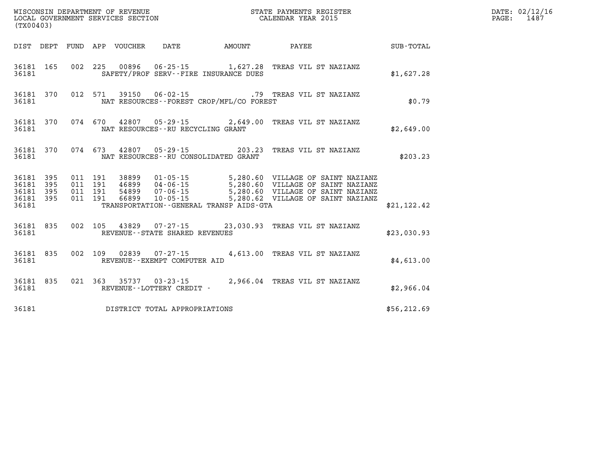|           | (TX00403)              |  |  |  |                                         |                                            |                                                                                                                                                                                                                                         |              | DATE: 02/12/16<br>1487<br>$\mathtt{PAGE:}$ |
|-----------|------------------------|--|--|--|-----------------------------------------|--------------------------------------------|-----------------------------------------------------------------------------------------------------------------------------------------------------------------------------------------------------------------------------------------|--------------|--------------------------------------------|
|           |                        |  |  |  |                                         |                                            | DIST DEPT FUND APP VOUCHER DATE AMOUNT PAYEE TOTAL                                                                                                                                                                                      |              |                                            |
|           | 36181                  |  |  |  |                                         | SAFETY/PROF SERV--FIRE INSURANCE DUES      | 36181 165 002 225 00896 06-25-15 1,627.28 TREAS VIL ST NAZIANZ                                                                                                                                                                          | \$1,627.28   |                                            |
| 36181     |                        |  |  |  |                                         | NAT RESOURCES--FOREST CROP/MFL/CO FOREST   | 36181 370 012 571 39150 06-02-15 .79 TREAS VIL ST NAZIANZ                                                                                                                                                                               | \$0.79       |                                            |
|           |                        |  |  |  | 36181 NAT RESOURCES--RU RECYCLING GRANT |                                            | 36181 370 074 670 42807 05-29-15 2,649.00 TREAS VIL ST NAZIANZ                                                                                                                                                                          | \$2.649.00   |                                            |
|           |                        |  |  |  |                                         |                                            | 36181 370 074 673 42807 05-29-15 203.23 TREAS VIL ST NAZIANZ                                                                                                                                                                            | \$203.23     |                                            |
| 36181 395 | 36181 395<br>36181 395 |  |  |  |                                         |                                            | 011 191 38899 01-05-15 5,280.60 VILLAGE OF SAINT NAZIANZ<br>011 191 46899 04-06-15 5,280.60 VILLAGE OF SAINT NAZIANZ<br>011 191 66899 10-05-15 5,280.60 VILLAGE OF SAINT NAZIANZ<br>011 191 66899 10-05-15 5,280.62 VILLAGE OF SAINT NA |              |                                            |
| 36181     | 36181 395              |  |  |  |                                         | TRANSPORTATION - - GENERAL TRANSP AIDS-GTA |                                                                                                                                                                                                                                         | \$21,122.42  |                                            |
| 36181     |                        |  |  |  | REVENUE - - STATE SHARED REVENUES       |                                            | 36181 835 002 105 43829 07-27-15 23,030.93 TREAS VIL ST NAZIANZ                                                                                                                                                                         | \$23,030.93  |                                            |
|           |                        |  |  |  | 36181 REVENUE - - EXEMPT COMPUTER AID   |                                            | 36181 835 002 109 02839 07-27-15 4,613.00 TREAS VIL ST NAZIANZ                                                                                                                                                                          | \$4,613.00   |                                            |
| 36181     |                        |  |  |  | REVENUE--LOTTERY CREDIT -               |                                            | 36181 835 021 363 35737 03-23-15 2,966.04 TREAS VIL ST NAZIANZ                                                                                                                                                                          | \$2,966.04   |                                            |
|           |                        |  |  |  | 36181 DISTRICT TOTAL APPROPRIATIONS     |                                            |                                                                                                                                                                                                                                         | \$56, 212.69 |                                            |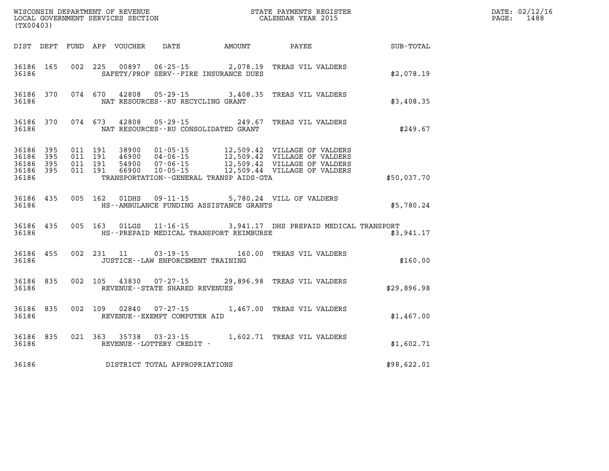| (TX00403)                                    |           |  |  |                         |                                                                         |                                              |                                                               |             | DATE: 02/12/16<br>$\mathtt{PAGE:}$<br>1488 |
|----------------------------------------------|-----------|--|--|-------------------------|-------------------------------------------------------------------------|----------------------------------------------|---------------------------------------------------------------|-------------|--------------------------------------------|
|                                              |           |  |  |                         |                                                                         | DIST DEPT FUND APP VOUCHER DATE AMOUNT PAYEE |                                                               | SUB-TOTAL   |                                            |
|                                              |           |  |  |                         | 36186 SAFETY/PROF SERV--FIRE INSURANCE DUES                             | 36186 165 002 225 00897 06-25-15 2,078.19    | TREAS VIL VALDERS                                             | \$2,078.19  |                                            |
| 36186                                        |           |  |  |                         | NAT RESOURCES--RU RECYCLING GRANT                                       |                                              | 36186 370 074 670 42808 05-29-15 3,408.35 TREAS VIL VALDERS   | \$3,408.35  |                                            |
| 36186                                        |           |  |  | 36186 370 074 673 42808 | NAT RESOURCES--RU CONSOLIDATED GRANT                                    |                                              | 05-29-15 249.67 TREAS VIL VALDERS                             | \$249.67    |                                            |
| 36186 395<br>36186 395<br>36186 395<br>36186 | 36186 395 |  |  |                         |                                                                         | TRANSPORTATION - - GENERAL TRANSP AIDS - GTA |                                                               | \$50,037.70 |                                            |
| 36186                                        | 36186 435 |  |  |                         | 005 162 01DHS 09-11-15                                                  | HS--AMBULANCE FUNDING ASSISTANCE GRANTS      | 5,780.24 VILL OF VALDERS                                      | \$5,780.24  |                                            |
| 36186                                        | 36186 435 |  |  |                         |                                                                         | HS--PREPAID MEDICAL TRANSPORT REIMBURSE      | 005 163 01LGS 11-16-15 3,941.17 DHS PREPAID MEDICAL TRANSPORT | \$3,941.17  |                                            |
| 36186                                        | 36186 455 |  |  |                         | JUSTICE - - LAW ENFORCEMENT TRAINING                                    |                                              | 002 231 11 03-19-15 160.00 TREAS VIL VALDERS                  | \$160.00    |                                            |
| 36186                                        | 36186 835 |  |  |                         | REVENUE--STATE SHARED REVENUES                                          |                                              | 002 105 43830 07-27-15 29,896.98 TREAS VIL VALDERS            | \$29,896.98 |                                            |
|                                              |           |  |  |                         | 36186 835 002 109 02840 07-27-15<br>36186 REVENUE - EXEMPT COMPUTER AID |                                              | 1,467.00 TREAS VIL VALDERS                                    | \$1,467.00  |                                            |
| 36186                                        |           |  |  |                         | REVENUE--LOTTERY CREDIT -                                               |                                              | 36186 835 021 363 35738 03-23-15 1,602.71 TREAS VIL VALDERS   | \$1,602.71  |                                            |
| 36186                                        |           |  |  |                         | DISTRICT TOTAL APPROPRIATIONS                                           |                                              |                                                               | \$98,622.01 |                                            |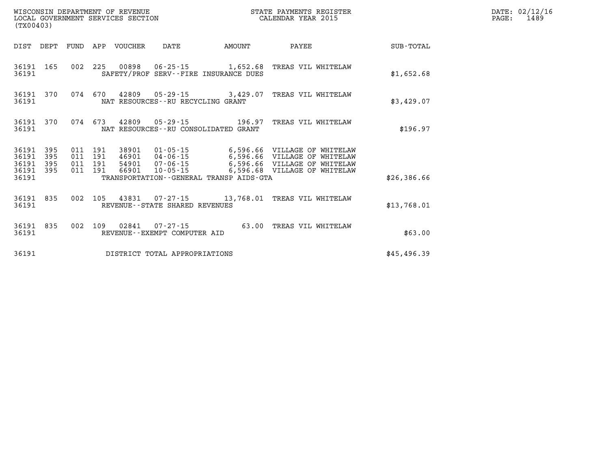| (TX00403)                                    |     |                    |  |                                 |                                   | STATE PAYMENTS REGISTER                 |                                                                                                                                                           |             | DATE: 02/12/16<br>PAGE: 1489 |
|----------------------------------------------|-----|--------------------|--|---------------------------------|-----------------------------------|-----------------------------------------|-----------------------------------------------------------------------------------------------------------------------------------------------------------|-------------|------------------------------|
|                                              |     |                    |  | DIST DEPT FUND APP VOUCHER DATE |                                   | <b>EXAMPLE THE AMOUNT</b>               | <b>PAYEE</b>                                                                                                                                              | SUB-TOTAL   |                              |
| 36191                                        |     |                    |  |                                 |                                   | SAFETY/PROF SERV--FIRE INSURANCE DUES   | 36191 165 002 225 00898 06-25-15 1,652.68 TREAS VIL WHITELAW                                                                                              | \$1,652.68  |                              |
| 36191                                        |     |                    |  |                                 | NAT RESOURCES--RU RECYCLING GRANT |                                         | 36191 370 074 670 42809 05-29-15 3,429.07 TREAS VIL WHITELAW                                                                                              | \$3,429.07  |                              |
| 36191                                        |     |                    |  |                                 |                                   | NAT RESOURCES - - RU CONSOLIDATED GRANT | 36191 370 074 673 42809 05-29-15 196.97 TREAS VIL WHITELAW                                                                                                | \$196.97    |                              |
| 36191 395<br>36191<br>36191 395<br>36191 395 | 395 | 011 191<br>011 191 |  |                                 |                                   |                                         | 011 191 46901 04-06-15 6,596.66 VILLAGE OF WHITELAW<br>011 191 54901 07-06-15 6,596.66 VILLAGE OF WHITELAW<br>66901 10-05-15 6,596.68 VILLAGE OF WHITELAW |             |                              |
| 36191                                        |     |                    |  |                                 |                                   | TRANSPORTATION--GENERAL TRANSP AIDS-GTA |                                                                                                                                                           | \$26,386.66 |                              |
| 36191                                        |     |                    |  |                                 | REVENUE--STATE SHARED REVENUES    |                                         | 36191 835 002 105 43831 07-27-15 13,768.01 TREAS VIL WHITELAW                                                                                             | \$13,768.01 |                              |
| 36191                                        |     |                    |  |                                 | REVENUE--EXEMPT COMPUTER AID      |                                         | 36191 835 002 109 02841 07-27-15 63.00 TREAS VIL WHITELAW                                                                                                 | \$63.00     |                              |
| 36191                                        |     |                    |  |                                 | DISTRICT TOTAL APPROPRIATIONS     |                                         |                                                                                                                                                           | \$45,496.39 |                              |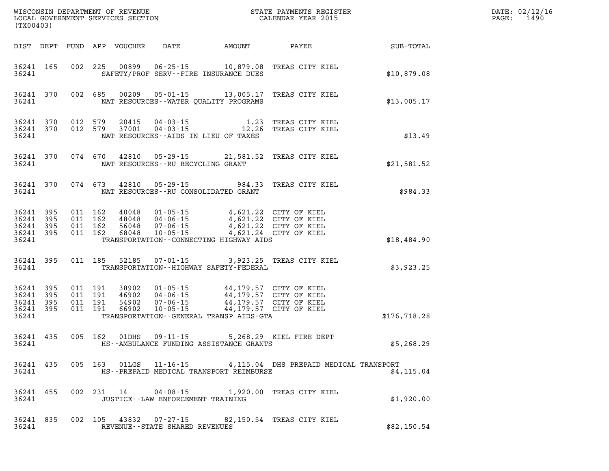| (TX00403)                                             |           |                                          |                    |                            |                                      |                                                                                                                                                                                                         |                                                                                   |               | DATE: 02/12/16<br>1490<br>$\mathtt{PAGE:}$ |
|-------------------------------------------------------|-----------|------------------------------------------|--------------------|----------------------------|--------------------------------------|---------------------------------------------------------------------------------------------------------------------------------------------------------------------------------------------------------|-----------------------------------------------------------------------------------|---------------|--------------------------------------------|
|                                                       |           |                                          |                    | DIST DEPT FUND APP VOUCHER | DATE                                 | AMOUNT                                                                                                                                                                                                  | PAYEE                                                                             | SUB-TOTAL     |                                            |
| 36241 165<br>36241                                    |           |                                          |                    |                            |                                      | 002 225 00899 06-25-15 10,879.08<br>SAFETY/PROF SERV--FIRE INSURANCE DUES                                                                                                                               | TREAS CITY KIEL                                                                   | \$10,879.08   |                                            |
| 36241                                                 | 36241 370 |                                          |                    |                            |                                      | NAT RESOURCES--WATER OUALITY PROGRAMS                                                                                                                                                                   | 002 685 00209 05-01-15 13,005.17 TREAS CITY KIEL                                  | \$13,005.17   |                                            |
| 36241 370<br>36241                                    | 36241 370 | 012 579<br>012 579                       |                    |                            |                                      | NAT RESOURCES--AIDS IN LIEU OF TAXES                                                                                                                                                                    | 20415  04-03-15   1.23 TREAS CITY KIEL<br>37001  04-03-15   12.26 TREAS CITY KIEL | \$13.49       |                                            |
| 36241                                                 | 36241 370 |                                          |                    |                            | NAT RESOURCES--RU RECYCLING GRANT    |                                                                                                                                                                                                         | 074 670 42810 05-29-15 21,581.52 TREAS CITY KIEL                                  | \$21,581.52   |                                            |
| 36241                                                 | 36241 370 |                                          |                    |                            |                                      | NAT RESOURCES--RU CONSOLIDATED GRANT                                                                                                                                                                    | 074 673 42810 05-29-15 984.33 TREAS CITY KIEL                                     | \$984.33      |                                            |
| 36241 395<br>36241 395<br>36241<br>36241 395<br>36241 | 395       | 011 162<br>011 162<br>011 162<br>011 162 |                    |                            | 40048 01-05-15                       | 40048 01-05-15 4,621.22 CITY OF KIEL<br>48048 04-06-15 4,621.22 CITY OF KIEL<br>56048 07-06-15 4,621.22 CITY OF KIEL<br>68048 10-05-15 4,621.24 CITY OF KIEL<br>TRANSPORTATION--CONNECTING HIGHWAY AIDS | 4,621.22 CITY OF KIEL                                                             | \$18,484.90   |                                            |
| 36241                                                 | 36241 395 |                                          | 011 185            |                            |                                      | TRANSPORTATION - - HIGHWAY SAFETY - FEDERAL                                                                                                                                                             | 52185  07-01-15  3,923.25  TREAS CITY KIEL                                        | \$3,923.25    |                                            |
| 36241 395<br>36241<br>36241 395<br>36241 395<br>36241 | 395       | 011 191<br>011 191                       | 011 191<br>011 191 | 66902                      | $10 - 05 - 15$                       | 44,179.57 CITY OF KIEL<br>TRANSPORTATION--GENERAL TRANSP AIDS-GTA                                                                                                                                       |                                                                                   | \$176, 718.28 |                                            |
| 36241 435<br>36241                                    |           |                                          | 005 162            | 01DHS                      | $09 - 11 - 15$                       | HS--AMBULANCE FUNDING ASSISTANCE GRANTS                                                                                                                                                                 | 5,268.29 KIEL FIRE DEPT                                                           | \$5,268.29    |                                            |
| 36241                                                 |           |                                          |                    |                            |                                      | HS--PREPAID MEDICAL TRANSPORT REIMBURSE                                                                                                                                                                 | 36241 435 005 163 01LGS 11-16-15 4,115.04 DHS PREPAID MEDICAL TRANSPORT           | \$4.115.04    |                                            |
| 36241                                                 | 36241 455 |                                          |                    |                            | JUSTICE - - LAW ENFORCEMENT TRAINING |                                                                                                                                                                                                         | 002 231 14 04-08-15 1,920.00 TREAS CITY KIEL                                      | \$1,920.00    |                                            |
| 36241                                                 | 36241 835 |                                          |                    |                            | REVENUE--STATE SHARED REVENUES       |                                                                                                                                                                                                         | 002 105 43832 07-27-15 82,150.54 TREAS CITY KIEL                                  | \$82,150.54   |                                            |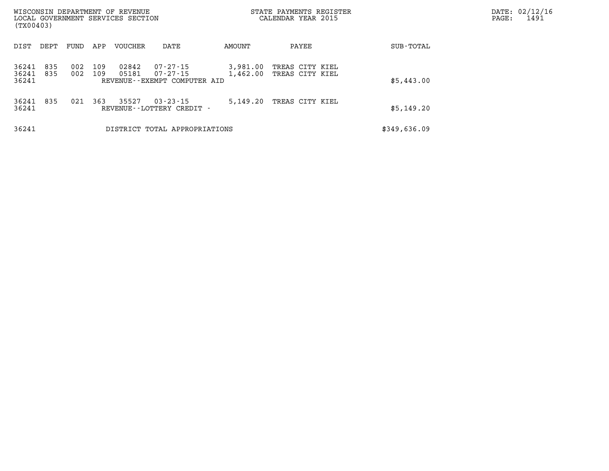| (TX00403)               |            |            |            | WISCONSIN DEPARTMENT OF REVENUE<br>LOCAL GOVERNMENT SERVICES SECTION |                                                               | STATE PAYMENTS REGISTER<br>CALENDAR YEAR 2015 | PAGE:                              | DATE: 02/12/16<br>1491 |  |  |
|-------------------------|------------|------------|------------|----------------------------------------------------------------------|---------------------------------------------------------------|-----------------------------------------------|------------------------------------|------------------------|--|--|
| DIST                    | DEPT       | FUND       | APP        | VOUCHER                                                              | DATE                                                          | AMOUNT                                        | PAYEE                              | SUB-TOTAL              |  |  |
| 36241<br>36241<br>36241 | 835<br>835 | 002<br>002 | 109<br>109 | 02842<br>05181                                                       | 07-27-15<br>$07 - 27 - 15$<br>REVENUE - - EXEMPT COMPUTER AID | 3,981.00<br>1,462.00                          | TREAS CITY KIEL<br>TREAS CITY KIEL | \$5,443.00             |  |  |
| 36241<br>36241          | 835        | 021        | 363        | 35527                                                                | $03 - 23 - 15$<br>REVENUE - - LOTTERY CREDIT -                | 5,149.20                                      | TREAS CITY KIEL                    | \$5,149.20             |  |  |
| 36241                   |            |            |            |                                                                      | DISTRICT TOTAL APPROPRIATIONS                                 |                                               |                                    | \$349,636.09           |  |  |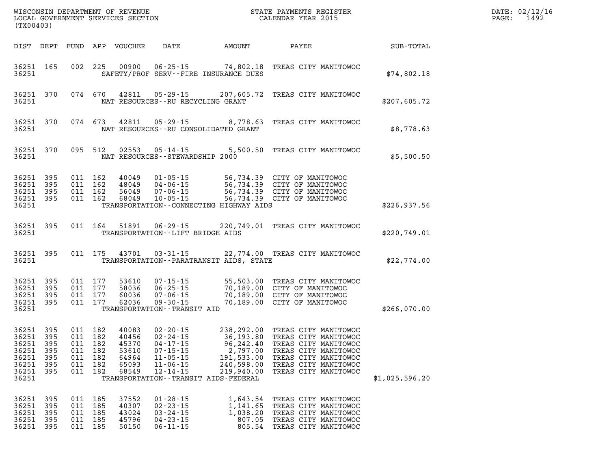| WISCONSIN DEPARTMENT OF REVENUE<br>LOCAL GOVERNMENT SERVICES SECTION CALENDAR YEAR 2015<br>(TX00403) |     |                                                     |                    |                                                    |                                                                                        |                                                                                     | STATE PAYMENTS REGISTER                                                                                                                                                                                                                                                                                  | DATE: 02/12/16<br>PAGE:<br>1492 |  |
|------------------------------------------------------------------------------------------------------|-----|-----------------------------------------------------|--------------------|----------------------------------------------------|----------------------------------------------------------------------------------------|-------------------------------------------------------------------------------------|----------------------------------------------------------------------------------------------------------------------------------------------------------------------------------------------------------------------------------------------------------------------------------------------------------|---------------------------------|--|
| DIST DEPT                                                                                            |     |                                                     |                    | FUND APP VOUCHER                                   | <b>DATE</b>                                                                            | AMOUNT                                                                              | <b>PAYEE</b>                                                                                                                                                                                                                                                                                             | SUB-TOTAL                       |  |
| 36251 165<br>36251                                                                                   |     |                                                     |                    |                                                    |                                                                                        | SAFETY/PROF SERV--FIRE INSURANCE DUES                                               | 002 225 00900 06-25-15 74,802.18 TREAS CITY MANITOWOC                                                                                                                                                                                                                                                    | \$74,802.18                     |  |
| 36251 370<br>36251                                                                                   |     |                                                     |                    |                                                    |                                                                                        | NAT RESOURCES - - RU RECYCLING GRANT                                                | 074 670 42811 05-29-15 207,605.72 TREAS CITY MANITOWOC                                                                                                                                                                                                                                                   | \$207,605.72                    |  |
| 36251 370<br>36251                                                                                   |     |                                                     |                    |                                                    |                                                                                        | NAT RESOURCES -- RU CONSOLIDATED GRANT                                              | 074 673 42811 05-29-15 8,778.63 TREAS CITY MANITOWOC                                                                                                                                                                                                                                                     | \$8,778.63                      |  |
| 36251 370<br>36251                                                                                   |     |                                                     | 095 512            |                                                    |                                                                                        | NAT RESOURCES - - STEWARDSHIP 2000                                                  | 02553  05-14-15  5,500.50  TREAS CITY MANITOWOC                                                                                                                                                                                                                                                          | \$5,500.50                      |  |
| 36251 395<br>36251 395<br>36251 395<br>36251 395<br>36251                                            |     | 011 162<br>011 162                                  | 011 162<br>011 162 |                                                    |                                                                                        | TRANSPORTATION--CONNECTING HIGHWAY AIDS                                             | 40049  01-05-15  56,734.39  CITY OF MANITOWOC<br>48049  04-06-15  56,734.39  CITY OF MANITOWOC<br>56049  07-06-15  56,734.39  CITY OF MANITOWOC<br>68049  10-05-15  56,734.39  CITY OF MANITOWOC<br>56,734.39 CITY OF MANITOWOC                                                                          | \$226,937.56                    |  |
| 36251 395<br>36251                                                                                   |     |                                                     |                    | 011 164 51891                                      |                                                                                        | TRANSPORTATION--LIFT BRIDGE AIDS                                                    | 06-29-15 220,749.01 TREAS CITY MANITOWOC                                                                                                                                                                                                                                                                 | \$220,749.01                    |  |
| 36251 395<br>36251                                                                                   |     |                                                     |                    | 011 175 43701                                      | $03 - 31 - 15$                                                                         | TRANSPORTATION - - PARATRANSIT AIDS, STATE                                          | 22,774.00 TREAS CITY MANITOWOC                                                                                                                                                                                                                                                                           | \$22,774.00                     |  |
| 36251 395<br>36251 395<br>36251 395<br>36251 395<br>36251                                            |     | 011 177<br>011 177                                  | 011 177<br>011 177 | 53610<br>58036<br>60036<br>62036                   | TRANSPORTATION--TRANSIT AID                                                            |                                                                                     | 07-15-15 55,503.00 TREAS CITY MANITOWOC<br>06-25-15 70,189.00 CITY OF MANITOWOC<br>07-06-15 70,189.00 CITY OF MANITOWOC<br>09-30-15 70,189.00 CITY OF MANITOWOC                                                                                                                                          | \$266,070.00                    |  |
| 36251 395<br>36251 395<br>36251 395<br>36251 395<br>36251 395<br>36251 395<br>36251 395<br>36251     |     | 011 182<br>011 182<br>011 182<br>011 182<br>011 182 | 011 182            | 40083<br>40456<br>45370<br>64964<br>65093<br>68549 | $11 - 05 - 15$<br>$11 - 06 - 15$<br>$12 - 14 - 15$                                     | 191,533.00<br>240,598.00<br>219,940.00<br>TRANSPORTATION - - TRANSIT AIDS - FEDERAL | 02-20-15 238,292.00 TREAS CITY MANITOWOC<br>02-24-15 36,193.80 TREAS CITY MANITOWOC<br>04-17-15 96,242.40 TREAS CITY MANITOWOC<br>07-15-15 2.797.00 TREAS CITY MANITOWOC<br>011 182 53610 07-15-15 2,797.00 TREAS CITY MANITOWOC<br>TREAS CITY MANITOWOC<br>TREAS CITY MANITOWOC<br>TREAS CITY MANITOWOC | \$1,025,596.20                  |  |
| 36251 395<br>36251 395<br>36251<br>36251 395<br>36251 395                                            | 395 | 011 185<br>011 185<br>011 185<br>011 185            | 011 185            | 37552<br>40307<br>43024<br>45796<br>50150          | $01 - 28 - 15$<br>$02 - 23 - 15$<br>$03 - 24 - 15$<br>$04 - 23 - 15$<br>$06 - 11 - 15$ | 1,141.65<br>1,038.20<br>807.05<br>805.54                                            | 1,643.54 TREAS CITY MANITOWOC<br>TREAS CITY MANITOWOC<br>TREAS CITY MANITOWOC<br>TREAS CITY MANITOWOC<br>TREAS CITY MANITOWOC                                                                                                                                                                            |                                 |  |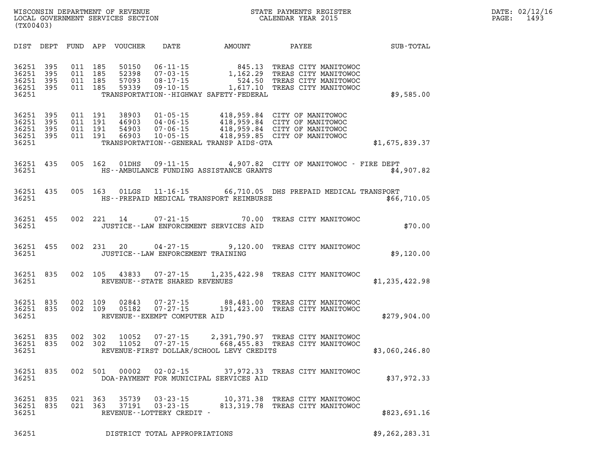| (TX00403)                                 |                          |                          |                          |                                  |                                                                  |                                                                                                                                                           |                                                                                                                                                                       |                |
|-------------------------------------------|--------------------------|--------------------------|--------------------------|----------------------------------|------------------------------------------------------------------|-----------------------------------------------------------------------------------------------------------------------------------------------------------|-----------------------------------------------------------------------------------------------------------------------------------------------------------------------|----------------|
| DIST                                      | DEPT                     | FUND APP                 |                          | VOUCHER                          | <b>DATE</b>                                                      | AMOUNT                                                                                                                                                    | PAYEE                                                                                                                                                                 | SUB-TOTAL      |
| 36251<br>36251<br>36251<br>36251<br>36251 | 395<br>395<br>395<br>395 | 011<br>011<br>011<br>011 | 185<br>185<br>185<br>185 | 50150<br>52398<br>57093<br>59339 | $06 - 11 - 15$<br>08-17-15<br>$09 - 10 - 15$                     | 845.13<br>06-11-15                       845.13<br>07-03-15                 1,162.29<br>524.50<br>1,617.10<br>TRANSPORTATION - - HIGHWAY SAFETY - FEDERAL | TREAS CITY MANITOWOC<br>TREAS CITY MANITOWOC<br>TREAS CITY MANITOWOC<br>TREAS CITY MANITOWOC                                                                          | \$9,585.00     |
| 36251<br>36251<br>36251<br>36251<br>36251 | 395<br>395<br>395<br>395 | 011<br>011<br>011<br>011 | 191<br>191<br>191<br>191 | 38903<br>46903<br>54903<br>66903 | $04 - 06 - 15$<br>$07 - 06 - 15$<br>$10 - 05 - 15$               | TRANSPORTATION - - GENERAL TRANSP AIDS - GTA                                                                                                              | 01-05-15 418,959.84 CITY OF MANITOWOC<br>418,959.84 CITY OF MANITOWOC<br>418,959.84 CITY OF MANITOWOC<br>418,959.84 CITY OF MANITOWOC<br>418,959.85 CITY OF MANITOWOC | \$1,675,839.37 |
| 36251<br>36251                            | 435                      | 005                      | 162                      | 01DHS                            |                                                                  | HS--AMBULANCE FUNDING ASSISTANCE GRANTS                                                                                                                   | 09-11-15 4,907.82 CITY OF MANITOWOC - FIRE DEPT                                                                                                                       | \$4,907.82     |
| 36251<br>36251                            | 435                      | 005                      | 163                      | 01LGS                            |                                                                  | HS--PREPAID MEDICAL TRANSPORT REIMBURSE                                                                                                                   | 11-16-15 66,710.05 DHS PREPAID MEDICAL TRANSPORT                                                                                                                      | \$66,710.05    |
| 36251<br>36251                            | 455                      | 002                      | 221                      | 14                               | $07 - 21 - 15$                                                   | 70.00<br>JUSTICE--LAW ENFORCEMENT SERVICES AID                                                                                                            | TREAS CITY MANITOWOC                                                                                                                                                  | \$70.00        |
| 36251<br>36251                            | 455                      | 002                      | 231                      | 20                               | $04 - 27 - 15$                                                   | 9,120.00<br>JUSTICE -- LAW ENFORCEMENT TRAINING                                                                                                           | TREAS CITY MANITOWOC                                                                                                                                                  | \$9,120.00     |
| 36251<br>36251                            | 835                      | 002                      | 105                      | 43833                            | 07-27-15<br>REVENUE - - STATE SHARED REVENUES                    |                                                                                                                                                           | 1,235,422.98 TREAS CITY MANITOWOC                                                                                                                                     | \$1,235,422.98 |
| 36251<br>36251<br>36251                   | 835<br>835               | 002<br>002               | 109<br>109               | 02843<br>05182                   | $07 - 27 - 15$<br>$07 - 27 - 15$<br>REVENUE--EXEMPT COMPUTER AID | 191,423.00                                                                                                                                                | 88,481.00 TREAS CITY MANITOWOC<br>TREAS CITY MANITOWOC                                                                                                                | \$279,904.00   |
| 36251<br>36251<br>36251                   | 835<br>835               | 002<br>002               | 302<br>302               | 10052<br>11052                   | $07 - 27 - 15$<br>$07 - 27 - 15$                                 | REVENUE-FIRST DOLLAR/SCHOOL LEVY CREDITS                                                                                                                  | 2,391,790.97 TREAS CITY MANITOWOC<br>668,455.83 TREAS CITY MANITOWOC                                                                                                  | \$3,060,246.80 |
| 36251<br>36251                            | 835                      | 002                      | 501                      | 00002                            | $02 - 02 - 15$                                                   | DOA-PAYMENT FOR MUNICIPAL SERVICES AID                                                                                                                    | 37,972.33 TREAS CITY MANITOWOC                                                                                                                                        | \$37,972.33    |
| 36251<br>36251<br>36251                   | 835<br>835               | 021<br>021               | 363<br>363               | 35739<br>37191                   | $03 - 23 - 15$<br>$03 - 23 - 15$<br>REVENUE--LOTTERY CREDIT -    | 10,371.38<br>813, 319.78                                                                                                                                  | TREAS CITY MANITOWOC<br>TREAS CITY MANITOWOC                                                                                                                          | \$823,691.16   |

LOCAL GOVERNMENT SERVICES SECTION

**36251 DISTRICT TOTAL APPROPRIATIONS \$9,262,283.31**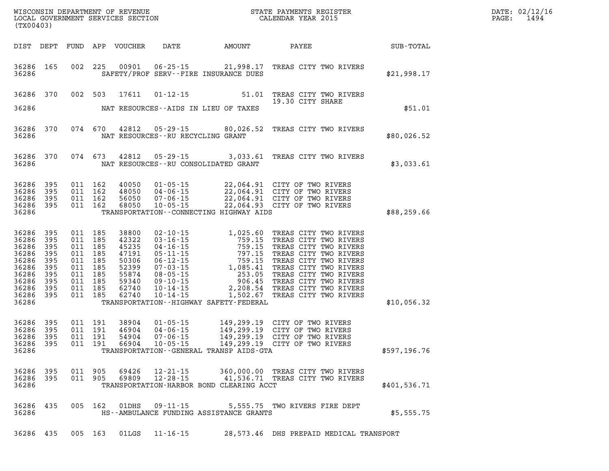| DATE: | 02/12/16 |
|-------|----------|
| PAGE: | 1494     |

| (TX00403)                                                                                               |                                                      |         |                                                                                                 | LOCAL GOVERNMENT SERVICES SECTION                                                      |                                   |                                             | CALENDAR YEAR 2015                                                                                                                                                                                                                                                                                                                                 |              | PAGE: | 1494 |
|---------------------------------------------------------------------------------------------------------|------------------------------------------------------|---------|-------------------------------------------------------------------------------------------------|----------------------------------------------------------------------------------------|-----------------------------------|---------------------------------------------|----------------------------------------------------------------------------------------------------------------------------------------------------------------------------------------------------------------------------------------------------------------------------------------------------------------------------------------------------|--------------|-------|------|
| DIST DEPT                                                                                               |                                                      |         |                                                                                                 | FUND APP VOUCHER                                                                       |                                   |                                             | DATE AMOUNT PAYEE SUB-TOTAL                                                                                                                                                                                                                                                                                                                        |              |       |      |
| 36286 165<br>36286                                                                                      |                                                      |         | 002 225                                                                                         | 00901                                                                                  |                                   | SAFETY/PROF SERV--FIRE INSURANCE DUES       | 06-25-15 21,998.17 TREAS CITY TWO RIVERS                                                                                                                                                                                                                                                                                                           | \$21,998.17  |       |      |
| 36286 370                                                                                               |                                                      |         | 002 503                                                                                         | 17611                                                                                  | $01 - 12 - 15$                    | 51.01                                       | TREAS CITY TWO RIVERS<br>19.30 CITY SHARE                                                                                                                                                                                                                                                                                                          |              |       |      |
| 36286                                                                                                   |                                                      |         |                                                                                                 |                                                                                        |                                   | NAT RESOURCES--AIDS IN LIEU OF TAXES        |                                                                                                                                                                                                                                                                                                                                                    | \$51.01      |       |      |
| 36286 370<br>36286                                                                                      |                                                      |         | 074 670                                                                                         |                                                                                        | NAT RESOURCES--RU RECYCLING GRANT |                                             | 42812  05-29-15  80,026.52  TREAS CITY TWO RIVERS                                                                                                                                                                                                                                                                                                  | \$80,026.52  |       |      |
| 36286 370<br>36286                                                                                      |                                                      |         | 074 673                                                                                         | 42812                                                                                  |                                   | NAT RESOURCES - - RU CONSOLIDATED GRANT     | 05-29-15 3,033.61 TREAS CITY TWO RIVERS                                                                                                                                                                                                                                                                                                            | \$3,033.61   |       |      |
| 36286<br>36286<br>36286<br>36286 395<br>36286                                                           | 395<br>395<br>395                                    |         | 011 162<br>011 162<br>011 162<br>011 162                                                        | 40050<br>48050<br>56050<br>68050                                                       |                                   | TRANSPORTATION--CONNECTING HIGHWAY AIDS     | 01-05-15 22,064.91 CITY OF TWO RIVERS<br>04-06-15 22,064.91 CITY OF TWO RIVERS<br>07-06-15 22,064.91 CITY OF TWO RIVERS<br>10-05-15 22,064.93 CITY OF TWO RIVERS                                                                                                                                                                                   | \$88,259.66  |       |      |
| 36286<br>36286<br>36286<br>36286<br>36286<br>36286<br>36286<br>36286<br>36286 395<br>36286 395<br>36286 | 395<br>395<br>395<br>395<br>395<br>395<br>395<br>395 | 011 185 | 011 185<br>011 185<br>011 185<br>011 185<br>011 185<br>011 185<br>011 185<br>011 185<br>011 185 | 38800<br>42322<br>45235<br>47191<br>50306<br>52399<br>55874<br>59340<br>62740<br>62740 | $10 - 14 - 15$<br>$10 - 14 - 15$  | TRANSPORTATION - - HIGHWAY SAFETY - FEDERAL | 02-10-15<br>03-16-15<br>03-16-15<br>04-16-15<br>759.15<br>759.15<br>759.15<br>759.15<br>759.15<br>769.15<br>769.15<br>769.15<br>769.15<br>769.15<br>768.2017<br>77.15<br>768.2017<br>768.2017<br>768.2017<br>768.2017<br>768.2017<br>768.2017<br>768.2017<br>768.2017<br>768.2<br>2,208.54 TREAS CITY TWO RIVERS<br>1,502.67 TREAS CITY TWO RIVERS | \$10,056.32  |       |      |
| 36286<br>36286<br>36286<br>36286 395<br>36286                                                           | 395<br>395<br>395                                    |         | 011 191<br>011 191<br>011 191<br>011 191                                                        | 38904<br>46904<br>54904<br>66904                                                       |                                   | TRANSPORTATION--GENERAL TRANSP AIDS-GTA     | 01-05-15 149,299.19 CITY OF TWO RIVERS<br>04-06-15 149,299.19 CITY OF TWO RIVERS<br>07-06-15 149,299.19 CITY OF TWO RIVERS<br>10-05-15 149,299.19 CITY OF TWO RIVERS                                                                                                                                                                               | \$597,196.76 |       |      |
| 36286 395<br>36286 395<br>36286                                                                         |                                                      |         | 011 905<br>011 905                                                                              | 69426<br>69809                                                                         | 12-21-15<br>$12 - 28 - 15$        | TRANSPORTATION-HARBOR BOND CLEARING ACCT    | 360,000.00 TREAS CITY TWO RIVERS<br>41,536.71 TREAS CITY TWO RIVERS                                                                                                                                                                                                                                                                                | \$401,536.71 |       |      |
| 36286 435<br>36286                                                                                      |                                                      |         | 005 162                                                                                         | 01DHS                                                                                  | $09 - 11 - 15$                    | HS--AMBULANCE FUNDING ASSISTANCE GRANTS     | 5,555.75 TWO RIVERS FIRE DEPT                                                                                                                                                                                                                                                                                                                      | \$5,555.75   |       |      |
| 36286 435                                                                                               |                                                      |         | 005 163                                                                                         |                                                                                        |                                   |                                             | 01LGS  11-16-15  28,573.46 DHS PREPAID MEDICAL TRANSPORT                                                                                                                                                                                                                                                                                           |              |       |      |

WISCONSIN DEPARTMENT OF REVENUE **STATE PAYMENTS REGISTER**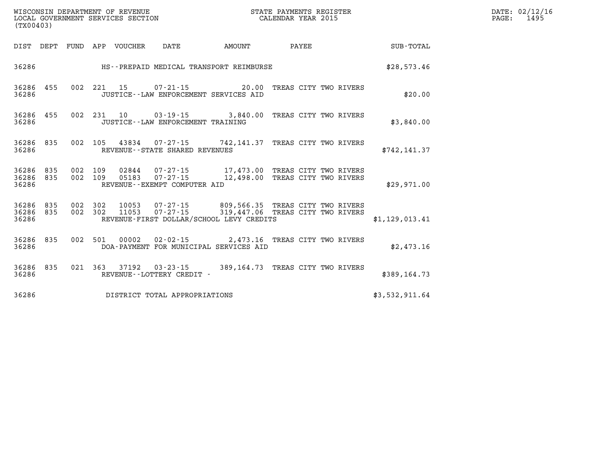| WISCONSIN DEPARTMENT OF REVENUE<br>LOCAL GOVERNMENT SERVICES SECTION<br>CALENDAR YEAR 2015<br>(TX00403) |                        |  |  |                                 |                                   |                                                                                                                                                                |  | DATE: 02/12/16<br>PAGE: 1495 |  |
|---------------------------------------------------------------------------------------------------------|------------------------|--|--|---------------------------------|-----------------------------------|----------------------------------------------------------------------------------------------------------------------------------------------------------------|--|------------------------------|--|
|                                                                                                         |                        |  |  | DIST DEPT FUND APP VOUCHER DATE |                                   |                                                                                                                                                                |  |                              |  |
| 36286                                                                                                   |                        |  |  |                                 |                                   | HS--PREPAID MEDICAL TRANSPORT REIMBURSE                                                                                                                        |  | \$28,573.46                  |  |
| 36286                                                                                                   | 36286 455              |  |  |                                 |                                   | 002 221 15 07-21-15 20.00 TREAS CITY TWO RIVERS<br>JUSTICE -- LAW ENFORCEMENT SERVICES AID                                                                     |  | \$20.00                      |  |
| 36286 455<br>36286                                                                                      |                        |  |  |                                 | JUSTICE--LAW ENFORCEMENT TRAINING | 002 231 10 03-19-15 3,840.00 TREAS CITY TWO RIVERS                                                                                                             |  | \$3,840.00                   |  |
| 36286                                                                                                   | 36286 835              |  |  |                                 | REVENUE--STATE SHARED REVENUES    | 002 105 43834 07-27-15 742,141.37 TREAS CITY TWO RIVERS                                                                                                        |  | \$742, 141.37                |  |
| 36286 835<br>36286                                                                                      | 36286 835              |  |  |                                 | REVENUE--EXEMPT COMPUTER AID      | 002 109 02844 07-27-15 17,473.00 TREAS CITY TWO RIVERS<br>002 109 05183 07-27-15 12,498.00 TREAS CITY TWO RIVERS                                               |  | \$29,971.00                  |  |
| 36286                                                                                                   | 36286 835<br>36286 835 |  |  |                                 |                                   | 002 302 10053 07-27-15 809,566.35 TREAS CITY TWO RIVERS<br>002 302 11053 07-27-15 319,447.06 TREAS CITY TWO RIVERS<br>REVENUE-FIRST DOLLAR/SCHOOL LEVY CREDITS |  | \$1,129,013.41               |  |
| 36286 835<br>36286                                                                                      |                        |  |  |                                 |                                   | 002 501 00002 02-02-15 2,473.16 TREAS CITY TWO RIVERS<br>DOA-PAYMENT FOR MUNICIPAL SERVICES AID                                                                |  | \$2,473.16                   |  |
| 36286                                                                                                   | 36286 835              |  |  |                                 | REVENUE--LOTTERY CREDIT -         | 021 363 37192 03-23-15 389,164.73 TREAS CITY TWO RIVERS                                                                                                        |  | \$389,164.73                 |  |
| 36286                                                                                                   |                        |  |  |                                 | DISTRICT TOTAL APPROPRIATIONS     |                                                                                                                                                                |  | \$3,532,911.64               |  |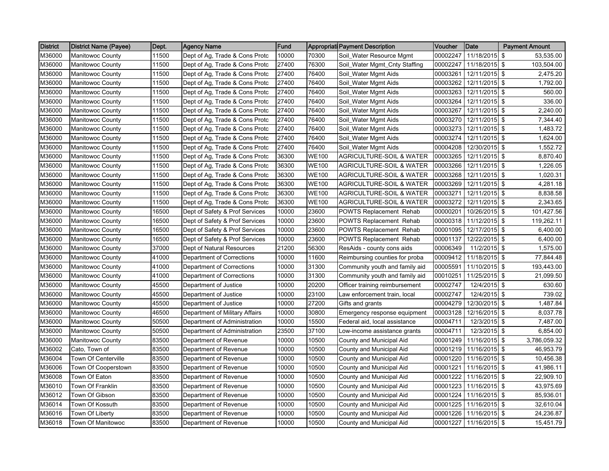| <b>District</b> | <b>District Name (Payee)</b> | Dept. | <b>Agency Name</b>             | Fund  |              | <b>Appropriati Payment Description</b> | Voucher  | Date                   | <b>Payment Amount</b> |
|-----------------|------------------------------|-------|--------------------------------|-------|--------------|----------------------------------------|----------|------------------------|-----------------------|
| M36000          | Manitowoc County             | 11500 | Dept of Ag, Trade & Cons Protc | 10000 | 70300        | Soil_Water Resource Mgmt               | 00002247 | 11/18/2015             | 53,535.00<br>\$       |
| M36000          | Manitowoc County             | 11500 | Dept of Ag, Trade & Cons Protc | 27400 | 76300        | Soil_Water Mgmt_Cnty Staffing          | 00002247 | 11/18/2015             | \$<br>103,504.00      |
| M36000          | Manitowoc County             | 11500 | Dept of Ag, Trade & Cons Protc | 27400 | 76400        | Soil_Water Mgmt Aids                   | 00003261 | 12/11/2015 \$          | 2,475.20              |
| M36000          | Manitowoc County             | 11500 | Dept of Ag, Trade & Cons Protc | 27400 | 76400        | Soil_Water Mgmt Aids                   | 00003262 | 12/11/2015 \$          | 1,792.00              |
| M36000          | Manitowoc County             | 11500 | Dept of Ag, Trade & Cons Protc | 27400 | 76400        | Soil_Water Mgmt Aids                   | 00003263 | $12/11/2015$ \$        | 560.00                |
| M36000          | <b>Manitowoc County</b>      | 11500 | Dept of Ag, Trade & Cons Protc | 27400 | 76400        | Soil_Water Mgmt Aids                   | 00003264 | 12/11/2015 \$          | 336.00                |
| M36000          | Manitowoc County             | 11500 | Dept of Ag, Trade & Cons Protc | 27400 | 76400        | Soil_Water Mgmt Aids                   | 00003267 | 12/11/2015 \$          | 2,240.00              |
| M36000          | Manitowoc County             | 11500 | Dept of Ag, Trade & Cons Protc | 27400 | 76400        | Soil_Water Mgmt Aids                   | 00003270 | 12/11/2015 \$          | 7,344.40              |
| M36000          | <b>Manitowoc County</b>      | 11500 | Dept of Ag, Trade & Cons Protc | 27400 | 76400        | Soil_Water Mgmt Aids                   | 00003273 | 12/11/2015 \$          | 1,483.72              |
| M36000          | <b>Manitowoc County</b>      | 11500 | Dept of Ag, Trade & Cons Protc | 27400 | 76400        | Soil_Water Mgmt Aids                   | 00003274 | 12/11/2015 \$          | 1,624.00              |
| M36000          | Manitowoc County             | 11500 | Dept of Ag, Trade & Cons Protc | 27400 | 76400        | Soil_Water Mgmt Aids                   | 00004208 | 12/30/2015 \$          | 1,552.72              |
| M36000          | Manitowoc County             | 11500 | Dept of Ag, Trade & Cons Protc | 36300 | WE100        | <b>AGRICULTURE-SOIL &amp; WATER</b>    | 00003265 | 12/11/2015             | \$<br>8,870.40        |
| M36000          | Manitowoc County             | 11500 | Dept of Ag, Trade & Cons Protc | 36300 | <b>WE100</b> | <b>AGRICULTURE-SOIL &amp; WATER</b>    | 00003266 | 12/11/2015 \$          | 1,226.05              |
| M36000          | <b>Manitowoc County</b>      | 11500 | Dept of Ag, Trade & Cons Protc | 36300 | <b>WE100</b> | <b>AGRICULTURE-SOIL &amp; WATER</b>    | 00003268 | 12/11/2015 \$          | 1,020.31              |
| M36000          | <b>Manitowoc County</b>      | 11500 | Dept of Ag, Trade & Cons Protc | 36300 | <b>WE100</b> | <b>AGRICULTURE-SOIL &amp; WATER</b>    | 00003269 | 12/11/2015 \$          | 4,281.18              |
| M36000          | Manitowoc County             | 11500 | Dept of Ag, Trade & Cons Protc | 36300 | <b>WE100</b> | <b>AGRICULTURE-SOIL &amp; WATER</b>    | 00003271 | 12/11/2015 \$          | 8,838.58              |
| M36000          | <b>Manitowoc County</b>      | 11500 | Dept of Ag, Trade & Cons Protc | 36300 | <b>WE100</b> | <b>AGRICULTURE-SOIL &amp; WATER</b>    | 00003272 | $12/11/2015$ \$        | 2,343.65              |
| M36000          | <b>Manitowoc County</b>      | 16500 | Dept of Safety & Prof Services | 10000 | 23600        | <b>POWTS Replacement Rehab</b>         | 00000201 | 10/26/2015 \$          | 101,427.56            |
| M36000          | <b>Manitowoc County</b>      | 16500 | Dept of Safety & Prof Services | 10000 | 23600        | <b>POWTS Replacement Rehab</b>         | 00000318 | 11/12/2015             | \$<br>119,262.11      |
| M36000          | <b>Manitowoc County</b>      | 16500 | Dept of Safety & Prof Services | 10000 | 23600        | POWTS Replacement Rehab                | 00001095 | 12/17/2015 \$          | 6,400.00              |
| M36000          | Manitowoc County             | 16500 | Dept of Safety & Prof Services | 10000 | 23600        | <b>POWTS Replacement Rehab</b>         | 00001137 | 12/22/2015             | \$<br>6,400.00        |
| M36000          | Manitowoc County             | 37000 | Dept of Natural Resources      | 21200 | 56300        | ResAids - county cons aids             | 00006349 | 11/2/2015 \$           | 1,575.00              |
| M36000          | <b>Manitowoc County</b>      | 41000 | Department of Corrections      | 10000 | 11600        | Reimbursing counties for proba         | 00009412 | 11/18/2015 \$          | 77,844.48             |
| M36000          | <b>Manitowoc County</b>      | 41000 | Department of Corrections      | 10000 | 31300        | Community youth and family aid         | 00005591 | 11/10/2015 \$          | 193,443.00            |
| M36000          | Manitowoc County             | 41000 | Department of Corrections      | 10000 | 31300        | Community youth and family aid         | 00010251 | 11/25/2015             | \$<br>21,099.50       |
| M36000          | <b>Manitowoc County</b>      | 45500 | Department of Justice          | 10000 | 20200        | Officer training reimbursement         | 00002747 | 12/4/2015 \$           | 630.60                |
| M36000          | Manitowoc County             | 45500 | Department of Justice          | 10000 | 23100        | Law enforcement train, local           | 00002747 | 12/4/2015              | \$<br>739.02          |
| M36000          | <b>Manitowoc County</b>      | 45500 | Department of Justice          | 10000 | 27200        | Gifts and grants                       | 00004279 | 12/30/2015 \$          | 1,487.84              |
| M36000          | Manitowoc County             | 46500 | Department of Military Affairs | 10000 | 30800        | Emergency response equipment           | 00003128 | 12/16/2015 \$          | 8,037.78              |
| M36000          | Manitowoc County             | 50500 | Department of Administration   | 10000 | 15500        | Federal aid, local assistance          | 00004711 | 12/3/2015              | \$<br>7,487.00        |
| M36000          | Manitowoc County             | 50500 | Department of Administration   | 23500 | 37100        | Low-income assistance grants           | 00004711 | 12/3/2015 \$           | 6,854.00              |
| M36000          | Manitowoc County             | 83500 | Department of Revenue          | 10000 | 10500        | County and Municipal Aid               | 00001249 | 11/16/2015             | \$<br>3,786,059.32    |
| M36002          | Cato, Town of                | 83500 | Department of Revenue          | 10000 | 10500        | County and Municipal Aid               | 00001219 | 11/16/2015 \$          | 46,953.79             |
| M36004          | Town Of Centerville          | 83500 | Department of Revenue          | 10000 | 10500        | County and Municipal Aid               | 00001220 | 11/16/2015 \$          | 10,456.38             |
| M36006          | Town Of Cooperstown          | 83500 | Department of Revenue          | 10000 | 10500        | County and Municipal Aid               | 00001221 | 11/16/2015 \$          | 41,986.11             |
| M36008          | Town Of Eaton                | 83500 | Department of Revenue          | 10000 | 10500        | County and Municipal Aid               | 00001222 | 11/16/2015             | \$<br>22,909.10       |
| M36010          | Town Of Franklin             | 83500 | Department of Revenue          | 10000 | 10500        | County and Municipal Aid               | 00001223 | 11/16/2015             | \$<br>43,975.69       |
| M36012          | Town Of Gibson               | 83500 | Department of Revenue          | 10000 | 10500        | County and Municipal Aid               | 00001224 | 11/16/2015 \$          | 85,936.01             |
| M36014          | Town Of Kossuth              | 83500 | Department of Revenue          | 10000 | 10500        | County and Municipal Aid               | 00001225 | 11/16/2015 \$          | 32,610.04             |
| M36016          | Town Of Liberty              | 83500 | Department of Revenue          | 10000 | 10500        | County and Municipal Aid               | 00001226 | 11/16/2015 \$          | 24,236.87             |
| M36018          | Town Of Manitowoc            | 83500 | Department of Revenue          | 10000 | 10500        | County and Municipal Aid               |          | 00001227 11/16/2015 \$ | 15,451.79             |